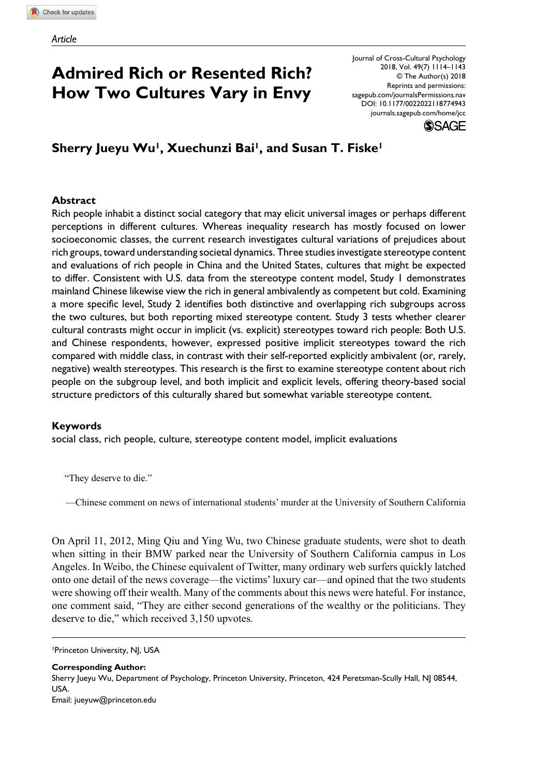# **Admired Rich or Resented Rich? How Two Cultures Vary in Envy**

Journal of Cross-Cultural Psychology 2018, Vol. 49(7) 1114–1143 © The Author(s) 2018 Reprints and permissions: [sagepub.com/journalsPermissions.nav](https://us.sagepub.com/en-us/journals-permissions) DOI: 10.1177/0022022118774943 [journals.sagepub.com/home/jcc](https://journals.sagepub.com/home/jcc) **SSAGE** 

# Sherry Jueyu Wu<sup>1</sup>, Xuechunzi Bai<sup>1</sup>, and Susan T. Fiske<sup>1</sup>

#### **Abstract**

Rich people inhabit a distinct social category that may elicit universal images or perhaps different perceptions in different cultures. Whereas inequality research has mostly focused on lower socioeconomic classes, the current research investigates cultural variations of prejudices about rich groups, toward understanding societal dynamics. Three studies investigate stereotype content and evaluations of rich people in China and the United States, cultures that might be expected to differ. Consistent with U.S. data from the stereotype content model, Study 1 demonstrates mainland Chinese likewise view the rich in general ambivalently as competent but cold. Examining a more specific level, Study 2 identifies both distinctive and overlapping rich subgroups across the two cultures, but both reporting mixed stereotype content. Study 3 tests whether clearer cultural contrasts might occur in implicit (vs. explicit) stereotypes toward rich people: Both U.S. and Chinese respondents, however, expressed positive implicit stereotypes toward the rich compared with middle class, in contrast with their self-reported explicitly ambivalent (or, rarely, negative) wealth stereotypes. This research is the first to examine stereotype content about rich people on the subgroup level, and both implicit and explicit levels, offering theory-based social structure predictors of this culturally shared but somewhat variable stereotype content.

#### **Keywords**

social class, rich people, culture, stereotype content model, implicit evaluations

"They deserve to die."

—Chinese comment on news of international students' murder at the University of Southern California

On April 11, 2012, Ming Qiu and Ying Wu, two Chinese graduate students, were shot to death when sitting in their BMW parked near the University of Southern California campus in Los Angeles. In Weibo, the Chinese equivalent of Twitter, many ordinary web surfers quickly latched onto one detail of the news coverage—the victims' luxury car—and opined that the two students were showing off their wealth. Many of the comments about this news were hateful. For instance, one comment said, "They are either second generations of the wealthy or the politicians. They deserve to die," which received 3,150 upvotes.

**Corresponding Author:** Sherry Jueyu Wu, Department of Psychology, Princeton University, Princeton, 424 Peretsman-Scully Hall, NJ 08544, USA. Email: [jueyuw@princeton.edu](mailto:jueyuw@princeton.edu)

<sup>1</sup>Princeton University, NJ, USA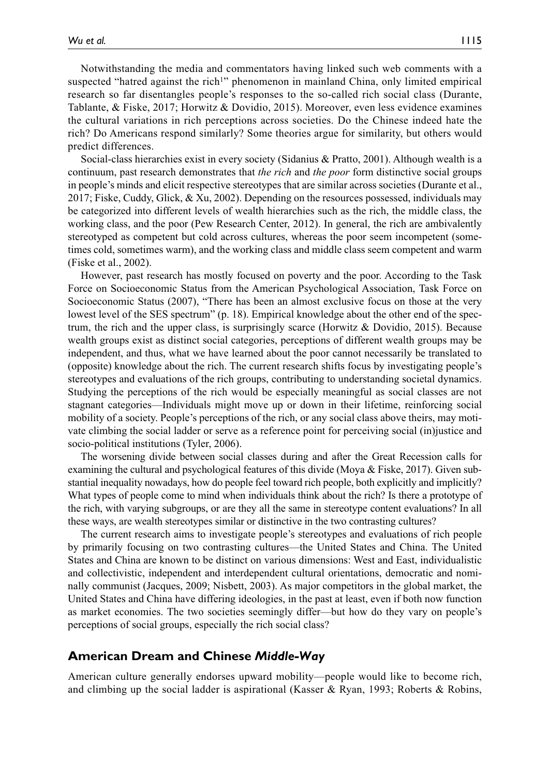Notwithstanding the media and commentators having linked such web comments with a suspected "hatred against the rich<sup>1</sup>" phenomenon in mainland China, only limited empirical research so far disentangles people's responses to the so-called rich social class (Durante, Tablante, & Fiske, 2017; Horwitz & Dovidio, 2015). Moreover, even less evidence examines the cultural variations in rich perceptions across societies. Do the Chinese indeed hate the rich? Do Americans respond similarly? Some theories argue for similarity, but others would predict differences.

Social-class hierarchies exist in every society (Sidanius & Pratto, 2001). Although wealth is a continuum, past research demonstrates that *the rich* and *the poor* form distinctive social groups in people's minds and elicit respective stereotypes that are similar across societies (Durante et al., 2017; Fiske, Cuddy, Glick,  $\&$  Xu, 2002). Depending on the resources possessed, individuals may be categorized into different levels of wealth hierarchies such as the rich, the middle class, the working class, and the poor (Pew Research Center, 2012). In general, the rich are ambivalently stereotyped as competent but cold across cultures, whereas the poor seem incompetent (sometimes cold, sometimes warm), and the working class and middle class seem competent and warm (Fiske et al., 2002).

However, past research has mostly focused on poverty and the poor. According to the Task Force on Socioeconomic Status from the American Psychological Association, Task Force on Socioeconomic Status (2007), "There has been an almost exclusive focus on those at the very lowest level of the SES spectrum" (p. 18). Empirical knowledge about the other end of the spectrum, the rich and the upper class, is surprisingly scarce (Horwitz & Dovidio, 2015). Because wealth groups exist as distinct social categories, perceptions of different wealth groups may be independent, and thus, what we have learned about the poor cannot necessarily be translated to (opposite) knowledge about the rich. The current research shifts focus by investigating people's stereotypes and evaluations of the rich groups, contributing to understanding societal dynamics. Studying the perceptions of the rich would be especially meaningful as social classes are not stagnant categories—Individuals might move up or down in their lifetime, reinforcing social mobility of a society. People's perceptions of the rich, or any social class above theirs, may motivate climbing the social ladder or serve as a reference point for perceiving social (in)justice and socio-political institutions (Tyler, 2006).

The worsening divide between social classes during and after the Great Recession calls for examining the cultural and psychological features of this divide (Moya & Fiske, 2017). Given substantial inequality nowadays, how do people feel toward rich people, both explicitly and implicitly? What types of people come to mind when individuals think about the rich? Is there a prototype of the rich, with varying subgroups, or are they all the same in stereotype content evaluations? In all these ways, are wealth stereotypes similar or distinctive in the two contrasting cultures?

The current research aims to investigate people's stereotypes and evaluations of rich people by primarily focusing on two contrasting cultures—the United States and China. The United States and China are known to be distinct on various dimensions: West and East, individualistic and collectivistic, independent and interdependent cultural orientations, democratic and nominally communist (Jacques, 2009; Nisbett, 2003). As major competitors in the global market, the United States and China have differing ideologies, in the past at least, even if both now function as market economies. The two societies seemingly differ—but how do they vary on people's perceptions of social groups, especially the rich social class?

## **American Dream and Chinese** *Middle-Way*

American culture generally endorses upward mobility—people would like to become rich, and climbing up the social ladder is aspirational (Kasser & Ryan, 1993; Roberts & Robins,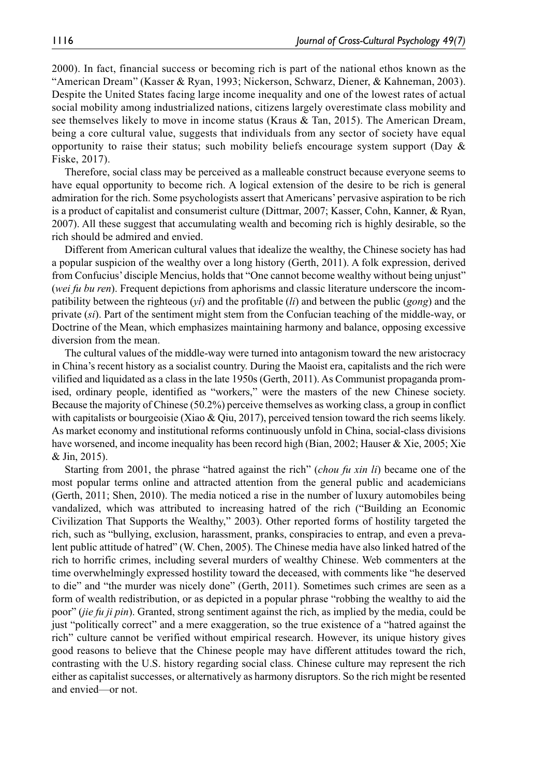2000). In fact, financial success or becoming rich is part of the national ethos known as the "American Dream" (Kasser & Ryan, 1993; Nickerson, Schwarz, Diener, & Kahneman, 2003). Despite the United States facing large income inequality and one of the lowest rates of actual social mobility among industrialized nations, citizens largely overestimate class mobility and see themselves likely to move in income status (Kraus & Tan, 2015). The American Dream, being a core cultural value, suggests that individuals from any sector of society have equal opportunity to raise their status; such mobility beliefs encourage system support (Day  $\&$ Fiske, 2017).

Therefore, social class may be perceived as a malleable construct because everyone seems to have equal opportunity to become rich. A logical extension of the desire to be rich is general admiration for the rich. Some psychologists assert that Americans' pervasive aspiration to be rich is a product of capitalist and consumerist culture (Dittmar, 2007; Kasser, Cohn, Kanner, & Ryan, 2007). All these suggest that accumulating wealth and becoming rich is highly desirable, so the rich should be admired and envied.

Different from American cultural values that idealize the wealthy, the Chinese society has had a popular suspicion of the wealthy over a long history (Gerth, 2011). A folk expression, derived from Confucius' disciple Mencius, holds that "One cannot become wealthy without being unjust" (*wei fu bu ren*). Frequent depictions from aphorisms and classic literature underscore the incompatibility between the righteous (*yi*) and the profitable (*li*) and between the public (*gong*) and the private (*si*). Part of the sentiment might stem from the Confucian teaching of the middle-way, or Doctrine of the Mean, which emphasizes maintaining harmony and balance, opposing excessive diversion from the mean.

The cultural values of the middle-way were turned into antagonism toward the new aristocracy in China's recent history as a socialist country. During the Maoist era, capitalists and the rich were vilified and liquidated as a class in the late 1950s (Gerth, 2011). As Communist propaganda promised, ordinary people, identified as "workers," were the masters of the new Chinese society. Because the majority of Chinese (50.2%) perceive themselves as working class, a group in conflict with capitalists or bourgeoisie (Xiao & Qiu, 2017), perceived tension toward the rich seems likely. As market economy and institutional reforms continuously unfold in China, social-class divisions have worsened, and income inequality has been record high (Bian, 2002; Hauser & Xie, 2005; Xie & Jin, 2015).

Starting from 2001, the phrase "hatred against the rich" (*chou fu xin li*) became one of the most popular terms online and attracted attention from the general public and academicians (Gerth, 2011; Shen, 2010). The media noticed a rise in the number of luxury automobiles being vandalized, which was attributed to increasing hatred of the rich ("Building an Economic Civilization That Supports the Wealthy," 2003). Other reported forms of hostility targeted the rich, such as "bullying, exclusion, harassment, pranks, conspiracies to entrap, and even a prevalent public attitude of hatred" (W. Chen, 2005). The Chinese media have also linked hatred of the rich to horrific crimes, including several murders of wealthy Chinese. Web commenters at the time overwhelmingly expressed hostility toward the deceased, with comments like "he deserved to die" and "the murder was nicely done" (Gerth, 2011). Sometimes such crimes are seen as a form of wealth redistribution, or as depicted in a popular phrase "robbing the wealthy to aid the poor" (*jie fu ji pin*). Granted, strong sentiment against the rich, as implied by the media, could be just "politically correct" and a mere exaggeration, so the true existence of a "hatred against the rich" culture cannot be verified without empirical research. However, its unique history gives good reasons to believe that the Chinese people may have different attitudes toward the rich, contrasting with the U.S. history regarding social class. Chinese culture may represent the rich either as capitalist successes, or alternatively as harmony disruptors. So the rich might be resented and envied—or not.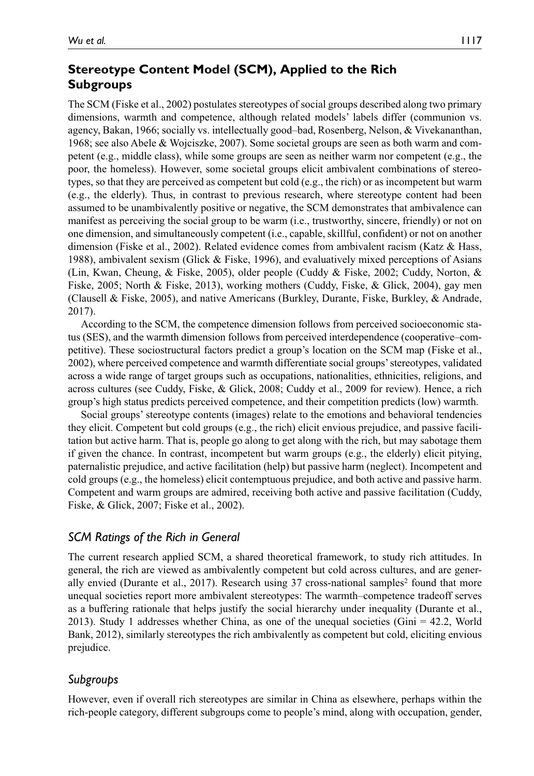# **Stereotype Content Model (SCM), Applied to the Rich Subgroups**

The SCM (Fiske et al., 2002) postulates stereotypes of social groups described along two primary dimensions, warmth and competence, although related models' labels differ (communion vs. agency, Bakan, 1966; socially vs. intellectually good–bad, Rosenberg, Nelson, & Vivekananthan, 1968; see also Abele & Wojciszke, 2007). Some societal groups are seen as both warm and competent (e.g., middle class), while some groups are seen as neither warm nor competent (e.g., the poor, the homeless). However, some societal groups elicit ambivalent combinations of stereotypes, so that they are perceived as competent but cold (e.g., the rich) or as incompetent but warm (e.g., the elderly). Thus, in contrast to previous research, where stereotype content had been assumed to be unambivalently positive or negative, the SCM demonstrates that ambivalence can manifest as perceiving the social group to be warm (i.e., trustworthy, sincere, friendly) or not on one dimension, and simultaneously competent (i.e., capable, skillful, confident) or not on another dimension (Fiske et al., 2002). Related evidence comes from ambivalent racism (Katz & Hass, 1988), ambivalent sexism (Glick & Fiske, 1996), and evaluatively mixed perceptions of Asians (Lin, Kwan, Cheung, & Fiske, 2005), older people (Cuddy & Fiske, 2002; Cuddy, Norton, & Fiske, 2005; North & Fiske, 2013), working mothers (Cuddy, Fiske, & Glick, 2004), gay men (Clausell & Fiske, 2005), and native Americans (Burkley, Durante, Fiske, Burkley, & Andrade, 2017).

According to the SCM, the competence dimension follows from perceived socioeconomic status (SES), and the warmth dimension follows from perceived interdependence (cooperative–competitive). These sociostructural factors predict a group's location on the SCM map (Fiske et al., 2002), where perceived competence and warmth differentiate social groups' stereotypes, validated across a wide range of target groups such as occupations, nationalities, ethnicities, religions, and across cultures (see Cuddy, Fiske, & Glick, 2008; Cuddy et al., 2009 for review). Hence, a rich group's high status predicts perceived competence, and their competition predicts (low) warmth.

Social groups' stereotype contents (images) relate to the emotions and behavioral tendencies they elicit. Competent but cold groups (e.g., the rich) elicit envious prejudice, and passive facilitation but active harm. That is, people go along to get along with the rich, but may sabotage them if given the chance. In contrast, incompetent but warm groups (e.g., the elderly) elicit pitying, paternalistic prejudice, and active facilitation (help) but passive harm (neglect). Incompetent and cold groups (e.g., the homeless) elicit contemptuous prejudice, and both active and passive harm. Competent and warm groups are admired, receiving both active and passive facilitation (Cuddy, Fiske, & Glick, 2007; Fiske et al., 2002).

# *SCM Ratings of the Rich in General*

The current research applied SCM, a shared theoretical framework, to study rich attitudes. In general, the rich are viewed as ambivalently competent but cold across cultures, and are generally envied (Durante et al., 2017). Research using  $37$  cross-national samples<sup>2</sup> found that more unequal societies report more ambivalent stereotypes: The warmth–competence tradeoff serves as a buffering rationale that helps justify the social hierarchy under inequality (Durante et al., 2013). Study 1 addresses whether China, as one of the unequal societies (Gini = 42.2, World Bank, 2012), similarly stereotypes the rich ambivalently as competent but cold, eliciting envious prejudice.

## *Subgroups*

However, even if overall rich stereotypes are similar in China as elsewhere, perhaps within the rich-people category, different subgroups come to people's mind, along with occupation, gender,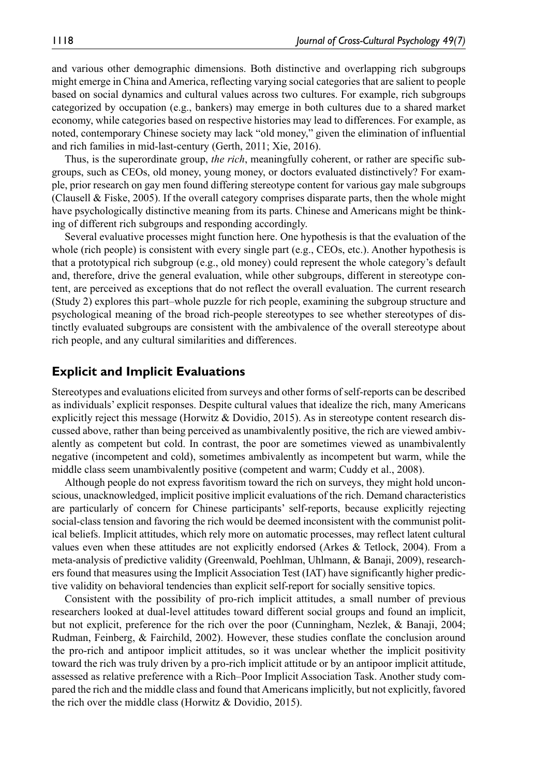and various other demographic dimensions. Both distinctive and overlapping rich subgroups might emerge in China and America, reflecting varying social categories that are salient to people based on social dynamics and cultural values across two cultures. For example, rich subgroups categorized by occupation (e.g., bankers) may emerge in both cultures due to a shared market economy, while categories based on respective histories may lead to differences. For example, as noted, contemporary Chinese society may lack "old money," given the elimination of influential and rich families in mid-last-century (Gerth, 2011; Xie, 2016).

Thus, is the superordinate group, *the rich*, meaningfully coherent, or rather are specific subgroups, such as CEOs, old money, young money, or doctors evaluated distinctively? For example, prior research on gay men found differing stereotype content for various gay male subgroups (Clausell & Fiske, 2005). If the overall category comprises disparate parts, then the whole might have psychologically distinctive meaning from its parts. Chinese and Americans might be thinking of different rich subgroups and responding accordingly.

Several evaluative processes might function here. One hypothesis is that the evaluation of the whole (rich people) is consistent with every single part (e.g., CEOs, etc.). Another hypothesis is that a prototypical rich subgroup (e.g., old money) could represent the whole category's default and, therefore, drive the general evaluation, while other subgroups, different in stereotype content, are perceived as exceptions that do not reflect the overall evaluation. The current research (Study 2) explores this part–whole puzzle for rich people, examining the subgroup structure and psychological meaning of the broad rich-people stereotypes to see whether stereotypes of distinctly evaluated subgroups are consistent with the ambivalence of the overall stereotype about rich people, and any cultural similarities and differences.

## **Explicit and Implicit Evaluations**

Stereotypes and evaluations elicited from surveys and other forms of self-reports can be described as individuals' explicit responses. Despite cultural values that idealize the rich, many Americans explicitly reject this message (Horwitz & Dovidio, 2015). As in stereotype content research discussed above, rather than being perceived as unambivalently positive, the rich are viewed ambivalently as competent but cold. In contrast, the poor are sometimes viewed as unambivalently negative (incompetent and cold), sometimes ambivalently as incompetent but warm, while the middle class seem unambivalently positive (competent and warm; Cuddy et al., 2008).

Although people do not express favoritism toward the rich on surveys, they might hold unconscious, unacknowledged, implicit positive implicit evaluations of the rich. Demand characteristics are particularly of concern for Chinese participants' self-reports, because explicitly rejecting social-class tension and favoring the rich would be deemed inconsistent with the communist political beliefs. Implicit attitudes, which rely more on automatic processes, may reflect latent cultural values even when these attitudes are not explicitly endorsed (Arkes & Tetlock, 2004). From a meta-analysis of predictive validity (Greenwald, Poehlman, Uhlmann, & Banaji, 2009), researchers found that measures using the Implicit Association Test (IAT) have significantly higher predictive validity on behavioral tendencies than explicit self-report for socially sensitive topics.

Consistent with the possibility of pro-rich implicit attitudes, a small number of previous researchers looked at dual-level attitudes toward different social groups and found an implicit, but not explicit, preference for the rich over the poor (Cunningham, Nezlek, & Banaji, 2004; Rudman, Feinberg, & Fairchild, 2002). However, these studies conflate the conclusion around the pro-rich and antipoor implicit attitudes, so it was unclear whether the implicit positivity toward the rich was truly driven by a pro-rich implicit attitude or by an antipoor implicit attitude, assessed as relative preference with a Rich–Poor Implicit Association Task. Another study compared the rich and the middle class and found that Americans implicitly, but not explicitly, favored the rich over the middle class (Horwitz & Dovidio, 2015).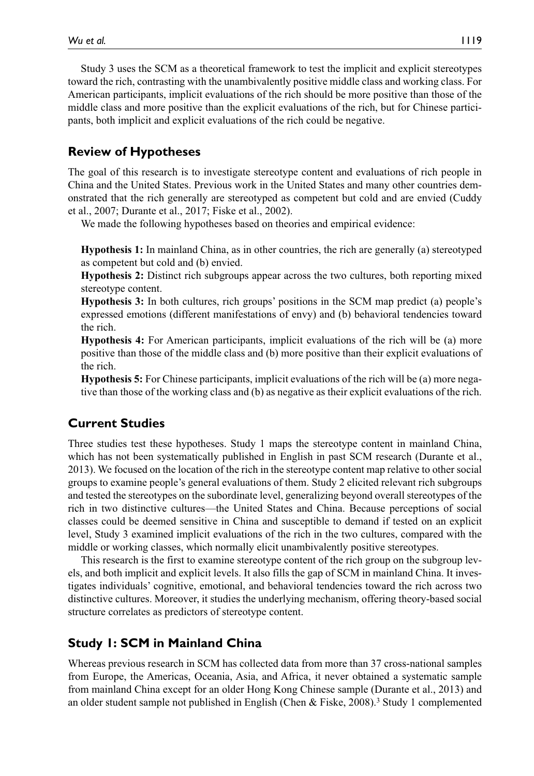Study 3 uses the SCM as a theoretical framework to test the implicit and explicit stereotypes toward the rich, contrasting with the unambivalently positive middle class and working class. For American participants, implicit evaluations of the rich should be more positive than those of the middle class and more positive than the explicit evaluations of the rich, but for Chinese participants, both implicit and explicit evaluations of the rich could be negative.

# **Review of Hypotheses**

The goal of this research is to investigate stereotype content and evaluations of rich people in China and the United States. Previous work in the United States and many other countries demonstrated that the rich generally are stereotyped as competent but cold and are envied (Cuddy et al., 2007; Durante et al., 2017; Fiske et al., 2002).

We made the following hypotheses based on theories and empirical evidence:

**Hypothesis 1:** In mainland China, as in other countries, the rich are generally (a) stereotyped as competent but cold and (b) envied.

**Hypothesis 2:** Distinct rich subgroups appear across the two cultures, both reporting mixed stereotype content.

**Hypothesis 3:** In both cultures, rich groups' positions in the SCM map predict (a) people's expressed emotions (different manifestations of envy) and (b) behavioral tendencies toward the rich.

**Hypothesis 4:** For American participants, implicit evaluations of the rich will be (a) more positive than those of the middle class and (b) more positive than their explicit evaluations of the rich.

**Hypothesis 5:** For Chinese participants, implicit evaluations of the rich will be (a) more negative than those of the working class and (b) as negative as their explicit evaluations of the rich.

# **Current Studies**

Three studies test these hypotheses. Study 1 maps the stereotype content in mainland China, which has not been systematically published in English in past SCM research (Durante et al., 2013). We focused on the location of the rich in the stereotype content map relative to other social groups to examine people's general evaluations of them. Study 2 elicited relevant rich subgroups and tested the stereotypes on the subordinate level, generalizing beyond overall stereotypes of the rich in two distinctive cultures—the United States and China. Because perceptions of social classes could be deemed sensitive in China and susceptible to demand if tested on an explicit level, Study 3 examined implicit evaluations of the rich in the two cultures, compared with the middle or working classes, which normally elicit unambivalently positive stereotypes.

This research is the first to examine stereotype content of the rich group on the subgroup levels, and both implicit and explicit levels. It also fills the gap of SCM in mainland China. It investigates individuals' cognitive, emotional, and behavioral tendencies toward the rich across two distinctive cultures. Moreover, it studies the underlying mechanism, offering theory-based social structure correlates as predictors of stereotype content.

# **Study 1: SCM in Mainland China**

Whereas previous research in SCM has collected data from more than 37 cross-national samples from Europe, the Americas, Oceania, Asia, and Africa, it never obtained a systematic sample from mainland China except for an older Hong Kong Chinese sample (Durante et al., 2013) and an older student sample not published in English (Chen & Fiske, 2008).3 Study 1 complemented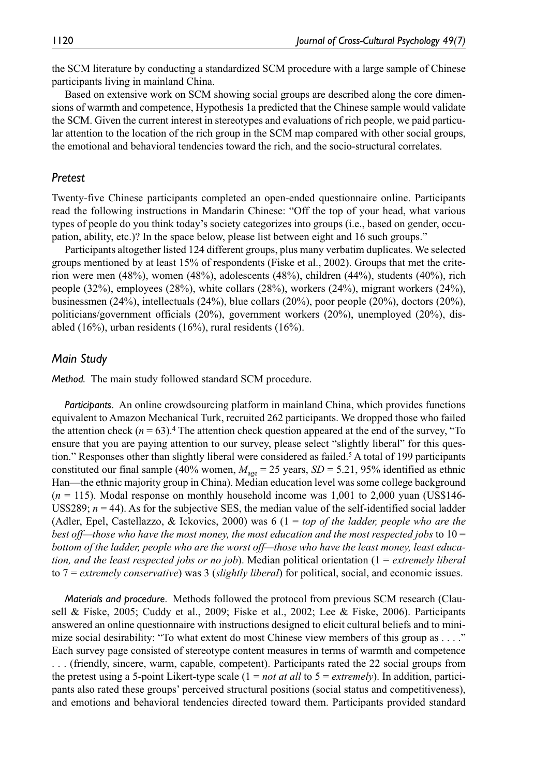the SCM literature by conducting a standardized SCM procedure with a large sample of Chinese participants living in mainland China.

Based on extensive work on SCM showing social groups are described along the core dimensions of warmth and competence, Hypothesis 1a predicted that the Chinese sample would validate the SCM. Given the current interest in stereotypes and evaluations of rich people, we paid particular attention to the location of the rich group in the SCM map compared with other social groups, the emotional and behavioral tendencies toward the rich, and the socio-structural correlates.

#### *Pretest*

Twenty-five Chinese participants completed an open-ended questionnaire online. Participants read the following instructions in Mandarin Chinese: "Off the top of your head, what various types of people do you think today's society categorizes into groups (i.e., based on gender, occupation, ability, etc.)? In the space below, please list between eight and 16 such groups."

Participants altogether listed 124 different groups, plus many verbatim duplicates. We selected groups mentioned by at least 15% of respondents (Fiske et al., 2002). Groups that met the criterion were men (48%), women (48%), adolescents (48%), children (44%), students (40%), rich people (32%), employees (28%), white collars (28%), workers (24%), migrant workers (24%), businessmen (24%), intellectuals (24%), blue collars (20%), poor people (20%), doctors (20%), politicians/government officials (20%), government workers (20%), unemployed (20%), disabled (16%), urban residents (16%), rural residents (16%).

## *Main Study*

*Method.* The main study followed standard SCM procedure.

*Participants*. An online crowdsourcing platform in mainland China, which provides functions equivalent to Amazon Mechanical Turk, recruited 262 participants. We dropped those who failed the attention check  $(n = 63)$ .<sup>4</sup> The attention check question appeared at the end of the survey, "To ensure that you are paying attention to our survey, please select "slightly liberal" for this question." Responses other than slightly liberal were considered as failed.5 A total of 199 participants constituted our final sample (40% women,  $M_{\text{age}} = 25$  years,  $SD = 5.21$ , 95% identified as ethnic Han—the ethnic majority group in China). Median education level was some college background (*n* = 115). Modal response on monthly household income was 1,001 to 2,000 yuan (US\$146- US\$289;  $n = 44$ ). As for the subjective SES, the median value of the self-identified social ladder (Adler, Epel, Castellazzo, & Ickovics, 2000) was 6 (1 = *top of the ladder, people who are the best off—those who have the most money, the most education and the most respected jobs* to 10 = *bottom of the ladder, people who are the worst off—those who have the least money, least education, and the least respected jobs or no job*). Median political orientation (1 = *extremely liberal* to 7 = *extremely conservative*) was 3 (*slightly liberal*) for political, social, and economic issues.

*Materials and procedure*. Methods followed the protocol from previous SCM research (Clausell & Fiske, 2005; Cuddy et al., 2009; Fiske et al., 2002; Lee & Fiske, 2006). Participants answered an online questionnaire with instructions designed to elicit cultural beliefs and to minimize social desirability: "To what extent do most Chinese view members of this group as . . . ." Each survey page consisted of stereotype content measures in terms of warmth and competence . . . (friendly, sincere, warm, capable, competent). Participants rated the 22 social groups from the pretest using a 5-point Likert-type scale (1 = *not at all* to 5 = *extremely*). In addition, participants also rated these groups' perceived structural positions (social status and competitiveness), and emotions and behavioral tendencies directed toward them. Participants provided standard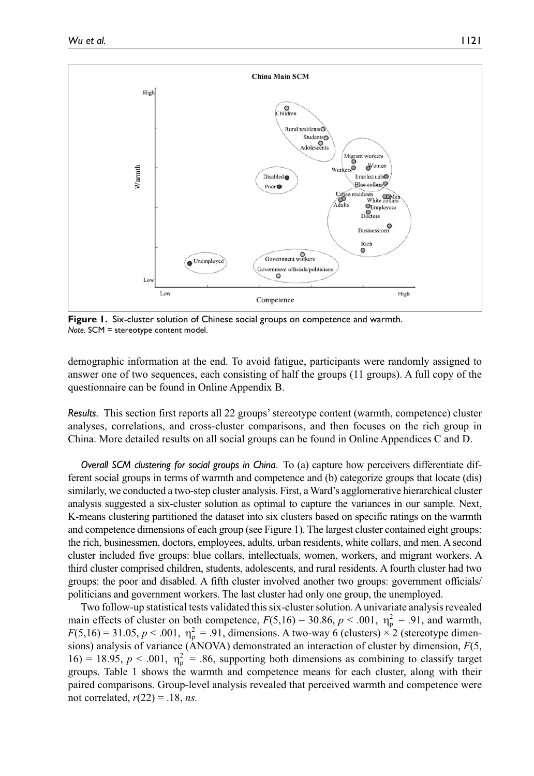



**Figure 1.** Six-cluster solution of Chinese social groups on competence and warmth. *Note.* SCM = stereotype content model.

demographic information at the end. To avoid fatigue, participants were randomly assigned to answer one of two sequences, each consisting of half the groups (11 groups). A full copy of the questionnaire can be found in Online Appendix B.

*Results.* This section first reports all 22 groups' stereotype content (warmth, competence) cluster analyses, correlations, and cross-cluster comparisons, and then focuses on the rich group in China. More detailed results on all social groups can be found in Online Appendices C and D.

*Overall SCM clustering for social groups in China*. To (a) capture how perceivers differentiate different social groups in terms of warmth and competence and (b) categorize groups that locate (dis) similarly, we conducted a two-step cluster analysis. First, a Ward's agglomerative hierarchical cluster analysis suggested a six-cluster solution as optimal to capture the variances in our sample. Next, K-means clustering partitioned the dataset into six clusters based on specific ratings on the warmth and competence dimensions of each group (see Figure 1). The largest cluster contained eight groups: the rich, businessmen, doctors, employees, adults, urban residents, white collars, and men. A second cluster included five groups: blue collars, intellectuals, women, workers, and migrant workers. A third cluster comprised children, students, adolescents, and rural residents. A fourth cluster had two groups: the poor and disabled. A fifth cluster involved another two groups: government officials/ politicians and government workers. The last cluster had only one group, the unemployed.

Two follow-up statistical tests validated this six-cluster solution. A univariate analysis revealed main effects of cluster on both competence,  $F(5,16) = 30.86$ ,  $p < .001$ ,  $\eta_p^2 = .91$ , and warmth,  $F(5,16) = 31.05, p < .001, \eta_p^2 = .91$ , dimensions. A two-way 6 (clusters)  $\times 2$  (stereotype dimensions) analysis of variance (ANOVA) demonstrated an interaction of cluster by dimension, *F*(5, 16) = 18.95,  $p < .001$ ,  $\eta_p^2 = .86$ , supporting both dimensions as combining to classify target groups. Table 1 shows the warmth and competence means for each cluster, along with their paired comparisons. Group-level analysis revealed that perceived warmth and competence were not correlated, *r*(22) = .18, *ns.*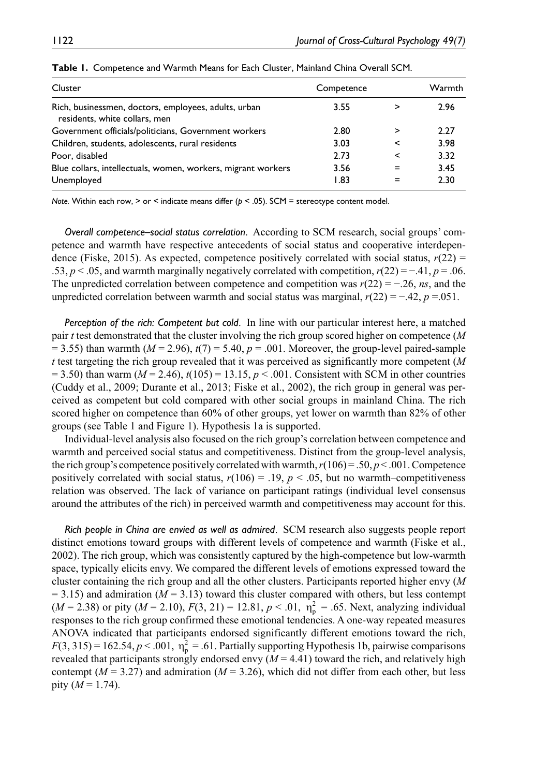| Cluster                                                                               |            |         | Warmth |  |
|---------------------------------------------------------------------------------------|------------|---------|--------|--|
|                                                                                       | Competence |         |        |  |
| Rich, businessmen, doctors, employees, adults, urban<br>residents, white collars, men | 3.55       | >       | 2.96   |  |
| Government officials/politicians, Government workers                                  | 2.80       | >       | 2.27   |  |
| Children, students, adolescents, rural residents                                      | 3.03       | $\,<\,$ | 3.98   |  |
| Poor, disabled                                                                        | 2.73       | $\,<\,$ | 3.32   |  |
| Blue collars, intellectuals, women, workers, migrant workers                          | 3.56       |         | 3.45   |  |
| Unemployed                                                                            | 1.83       |         | 2.30   |  |

**Table 1.** Competence and Warmth Means for Each Cluster, Mainland China Overall SCM.

*Note.* Within each row, > or < indicate means differ ( $p < .05$ ). SCM = stereotype content model.

*Overall competence–social status correlation*. According to SCM research, social groups' competence and warmth have respective antecedents of social status and cooperative interdependence (Fiske, 2015). As expected, competence positively correlated with social status,  $r(22)$  = .53, *p* < .05, and warmth marginally negatively correlated with competition, *r*(22) = −.41, *p* = .06. The unpredicted correlation between competence and competition was *r*(22) = −.26, *ns*, and the unpredicted correlation between warmth and social status was marginal,  $r(22) = -0.42$ ,  $p = 0.051$ .

*Perception of the rich: Competent but cold*. In line with our particular interest here, a matched pair *t* test demonstrated that the cluster involving the rich group scored higher on competence (*M*  $= 3.55$ ) than warmth ( $M = 2.96$ ),  $t(7) = 5.40$ ,  $p = .001$ . Moreover, the group-level paired-sample *t* test targeting the rich group revealed that it was perceived as significantly more competent (*M*  $= 3.50$ ) than warm ( $M = 2.46$ ),  $t(105) = 13.15$ ,  $p < .001$ . Consistent with SCM in other countries (Cuddy et al., 2009; Durante et al., 2013; Fiske et al., 2002), the rich group in general was perceived as competent but cold compared with other social groups in mainland China. The rich scored higher on competence than 60% of other groups, yet lower on warmth than 82% of other groups (see Table 1 and Figure 1). Hypothesis 1a is supported.

Individual-level analysis also focused on the rich group's correlation between competence and warmth and perceived social status and competitiveness. Distinct from the group-level analysis, the rich group's competence positively correlated with warmth,  $r(106) = .50, p < .001$ . Competence positively correlated with social status,  $r(106) = .19$ ,  $p < .05$ , but no warmth–competitiveness relation was observed. The lack of variance on participant ratings (individual level consensus around the attributes of the rich) in perceived warmth and competitiveness may account for this.

*Rich people in China are envied as well as admired*. SCM research also suggests people report distinct emotions toward groups with different levels of competence and warmth (Fiske et al., 2002). The rich group, which was consistently captured by the high-competence but low-warmth space, typically elicits envy. We compared the different levels of emotions expressed toward the cluster containing the rich group and all the other clusters. Participants reported higher envy (*M*  $=$  3.15) and admiration ( $M = 3.13$ ) toward this cluster compared with others, but less contempt  $(M = 2.38)$  or pity  $(M = 2.10)$ ,  $F(3, 21) = 12.81$ ,  $p < .01$ ,  $\eta_p^2 = .65$ . Next, analyzing individual responses to the rich group confirmed these emotional tendencies. A one-way repeated measures ANOVA indicated that participants endorsed significantly different emotions toward the rich,  $F(3, 315) = 162.54, p < .001, \eta_p^2 = .61$ . Partially supporting Hypothesis 1b, pairwise comparisons revealed that participants strongly endorsed envy  $(M = 4.41)$  toward the rich, and relatively high contempt ( $M = 3.27$ ) and admiration ( $M = 3.26$ ), which did not differ from each other, but less pity  $(M = 1.74)$ .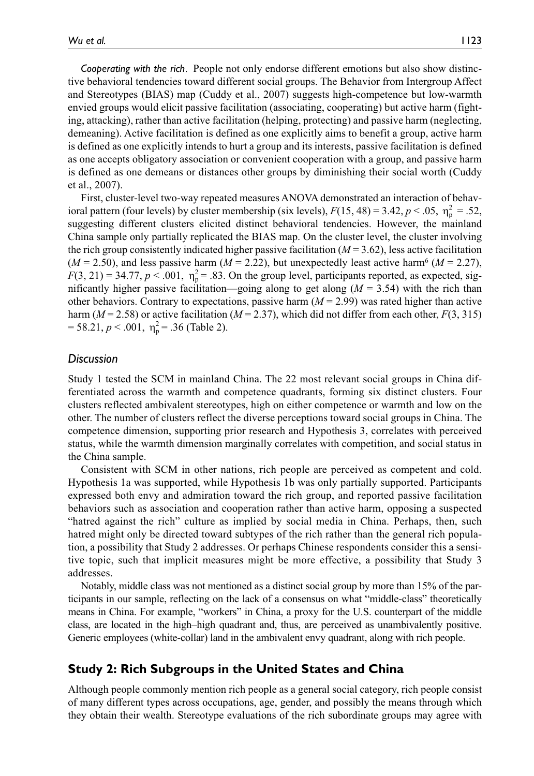*Cooperating with the rich*. People not only endorse different emotions but also show distinctive behavioral tendencies toward different social groups. The Behavior from Intergroup Affect and Stereotypes (BIAS) map (Cuddy et al., 2007) suggests high-competence but low-warmth envied groups would elicit passive facilitation (associating, cooperating) but active harm (fighting, attacking), rather than active facilitation (helping, protecting) and passive harm (neglecting, demeaning). Active facilitation is defined as one explicitly aims to benefit a group, active harm is defined as one explicitly intends to hurt a group and its interests, passive facilitation is defined as one accepts obligatory association or convenient cooperation with a group, and passive harm is defined as one demeans or distances other groups by diminishing their social worth (Cuddy et al., 2007).

First, cluster-level two-way repeated measures ANOVA demonstrated an interaction of behavioral pattern (four levels) by cluster membership (six levels),  $F(15, 48) = 3.42, p < .05, \eta_p^2 = .52,$ suggesting different clusters elicited distinct behavioral tendencies. However, the mainland China sample only partially replicated the BIAS map. On the cluster level, the cluster involving the rich group consistently indicated higher passive facilitation  $(M = 3.62)$ , less active facilitation  $(M = 2.50)$ , and less passive harm  $(M = 2.22)$ , but unexpectedly least active harm<sup>6</sup>  $(M = 2.27)$ ,  $F(3, 21) = 34.77$ ,  $p < .001$ ,  $\eta_p^2 = .83$ . On the group level, participants reported, as expected, significantly higher passive facilitation—going along to get along  $(M = 3.54)$  with the rich than other behaviors. Contrary to expectations, passive harm  $(M = 2.99)$  was rated higher than active harm ( $M = 2.58$ ) or active facilitation ( $M = 2.37$ ), which did not differ from each other,  $F(3, 315)$  $= 58.21, p < .001, \eta_{p}^{2} = .36$  (Table 2).

#### *Discussion*

Study 1 tested the SCM in mainland China. The 22 most relevant social groups in China differentiated across the warmth and competence quadrants, forming six distinct clusters. Four clusters reflected ambivalent stereotypes, high on either competence or warmth and low on the other. The number of clusters reflect the diverse perceptions toward social groups in China. The competence dimension, supporting prior research and Hypothesis 3, correlates with perceived status, while the warmth dimension marginally correlates with competition, and social status in the China sample.

Consistent with SCM in other nations, rich people are perceived as competent and cold. Hypothesis 1a was supported, while Hypothesis 1b was only partially supported. Participants expressed both envy and admiration toward the rich group, and reported passive facilitation behaviors such as association and cooperation rather than active harm, opposing a suspected "hatred against the rich" culture as implied by social media in China. Perhaps, then, such hatred might only be directed toward subtypes of the rich rather than the general rich population, a possibility that Study 2 addresses. Or perhaps Chinese respondents consider this a sensitive topic, such that implicit measures might be more effective, a possibility that Study 3 addresses.

Notably, middle class was not mentioned as a distinct social group by more than 15% of the participants in our sample, reflecting on the lack of a consensus on what "middle-class" theoretically means in China. For example, "workers" in China, a proxy for the U.S. counterpart of the middle class, are located in the high–high quadrant and, thus, are perceived as unambivalently positive. Generic employees (white-collar) land in the ambivalent envy quadrant, along with rich people.

# **Study 2: Rich Subgroups in the United States and China**

Although people commonly mention rich people as a general social category, rich people consist of many different types across occupations, age, gender, and possibly the means through which they obtain their wealth. Stereotype evaluations of the rich subordinate groups may agree with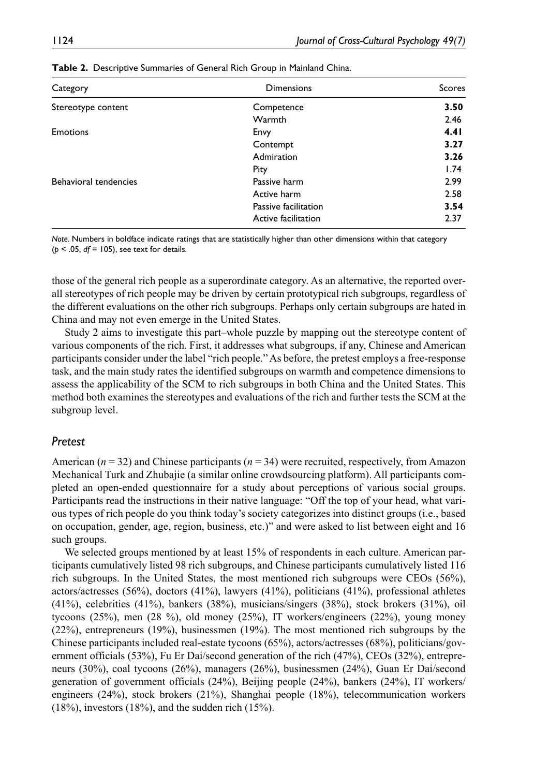| Category                     | <b>Dimensions</b>    | Scores |  |
|------------------------------|----------------------|--------|--|
| Stereotype content           | Competence           | 3.50   |  |
|                              | Warmth               | 2.46   |  |
| Emotions                     | Envy                 | 4.41   |  |
|                              | Contempt             | 3.27   |  |
|                              | Admiration           | 3.26   |  |
|                              | Pity                 | 1.74   |  |
| <b>Behavioral tendencies</b> | Passive harm         | 2.99   |  |
|                              | Active harm          | 2.58   |  |
|                              | Passive facilitation | 3.54   |  |
|                              | Active facilitation  | 2.37   |  |

**Table 2.** Descriptive Summaries of General Rich Group in Mainland China.

*Note.* Numbers in boldface indicate ratings that are statistically higher than other dimensions within that category (*p* < .05, *df* = 105), see text for details.

those of the general rich people as a superordinate category. As an alternative, the reported overall stereotypes of rich people may be driven by certain prototypical rich subgroups, regardless of the different evaluations on the other rich subgroups. Perhaps only certain subgroups are hated in China and may not even emerge in the United States.

Study 2 aims to investigate this part–whole puzzle by mapping out the stereotype content of various components of the rich. First, it addresses what subgroups, if any, Chinese and American participants consider under the label "rich people." As before, the pretest employs a free-response task, and the main study rates the identified subgroups on warmth and competence dimensions to assess the applicability of the SCM to rich subgroups in both China and the United States. This method both examines the stereotypes and evaluations of the rich and further tests the SCM at the subgroup level.

#### *Pretest*

American (*n* = 32) and Chinese participants (*n* = 34) were recruited, respectively, from Amazon Mechanical Turk and Zhubajie (a similar online crowdsourcing platform). All participants completed an open-ended questionnaire for a study about perceptions of various social groups. Participants read the instructions in their native language: "Off the top of your head, what various types of rich people do you think today's society categorizes into distinct groups (i.e., based on occupation, gender, age, region, business, etc.)" and were asked to list between eight and 16 such groups.

We selected groups mentioned by at least 15% of respondents in each culture. American participants cumulatively listed 98 rich subgroups, and Chinese participants cumulatively listed 116 rich subgroups. In the United States, the most mentioned rich subgroups were CEOs (56%), actors/actresses (56%), doctors (41%), lawyers (41%), politicians (41%), professional athletes (41%), celebrities (41%), bankers (38%), musicians/singers (38%), stock brokers (31%), oil tycoons (25%), men (28 %), old money (25%), IT workers/engineers (22%), young money (22%), entrepreneurs (19%), businessmen (19%). The most mentioned rich subgroups by the Chinese participants included real-estate tycoons (65%), actors/actresses (68%), politicians/government officials (53%), Fu Er Dai/second generation of the rich (47%), CEOs (32%), entrepreneurs (30%), coal tycoons (26%), managers (26%), businessmen (24%), Guan Er Dai/second generation of government officials (24%), Beijing people (24%), bankers (24%), IT workers/ engineers (24%), stock brokers (21%), Shanghai people (18%), telecommunication workers  $(18\%)$ , investors  $(18\%)$ , and the sudden rich  $(15\%)$ .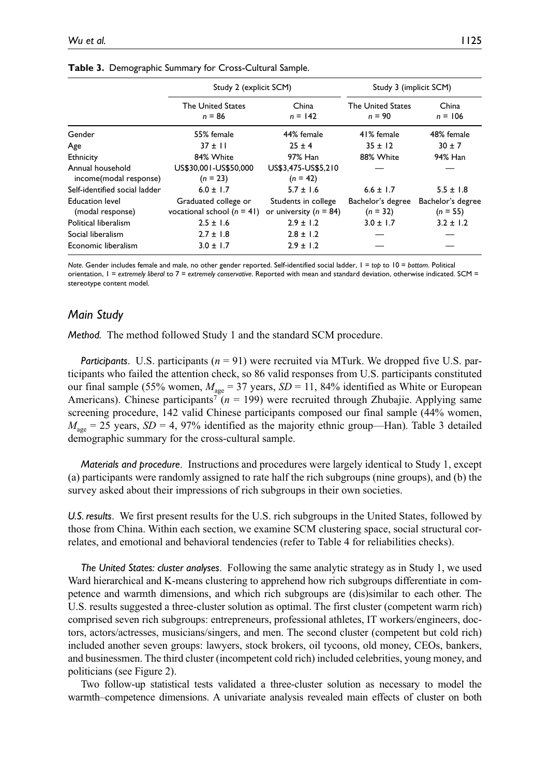|                                            | Study 2 (explicit SCM)                               |                                                   | Study 3 (implicit SCM)          |                                 |  |  |
|--------------------------------------------|------------------------------------------------------|---------------------------------------------------|---------------------------------|---------------------------------|--|--|
|                                            | The United States<br>$n = 86$                        | China<br>$n = 142$                                | The United States<br>$n = 90$   | China<br>$n = 106$              |  |  |
| Gender                                     | 55% female                                           | 44% female                                        | 41% female                      | 48% female                      |  |  |
| Age                                        | $37 \pm 11$                                          | $25 \pm 4$                                        | $35 \pm 12$                     | $30 \pm 7$                      |  |  |
| Ethnicity                                  | 84% White                                            | 97% Han                                           | 88% White                       | 94% Han                         |  |  |
| Annual household<br>income(modal response) | US\$30,001-US\$50,000<br>$(n = 23)$                  | US\$3,475-US\$5,210<br>$(n = 42)$                 |                                 |                                 |  |  |
| Self-identified social ladder              | $6.0 \pm 1.7$                                        | $5.7 \pm 1.6$                                     | $6.6 \pm 1.7$                   | $5.5 \pm 1.8$                   |  |  |
| <b>Education level</b><br>(modal response) | Graduated college or<br>vocational school $(n = 41)$ | Students in college<br>or university ( $n = 84$ ) | Bachelor's degree<br>$(n = 32)$ | Bachelor's degree<br>$(n = 55)$ |  |  |
| Political liberalism                       | $2.5 \pm 1.6$                                        | $2.9 \pm 1.2$                                     | $3.0 \pm 1.7$                   | $3.2 \pm 1.2$                   |  |  |
| Social liberalism                          | $2.7 \pm 1.8$                                        | $2.8 \pm 1.2$                                     |                                 |                                 |  |  |
| Economic liberalism                        | $3.0 \pm 1.7$                                        | $2.9 \pm 1.2$                                     |                                 |                                 |  |  |

|  | Table 3. Demographic Summary for Cross-Cultural Sample. |  |  |  |  |  |
|--|---------------------------------------------------------|--|--|--|--|--|
|--|---------------------------------------------------------|--|--|--|--|--|

*Note.* Gender includes female and male, no other gender reported. Self-identified social ladder, 1 = *top* to 10 = *bottom*. Political orientation, 1 = *extremely liberal* to 7 = *extremely conservative*. Reported with mean and standard deviation, otherwise indicated. SCM = stereotype content model.

## *Main Study*

*Method.* The method followed Study 1 and the standard SCM procedure.

*Participants*. U.S. participants (*n* = 91) were recruited via MTurk. We dropped five U.S. participants who failed the attention check, so 86 valid responses from U.S. participants constituted our final sample (55% women,  $M_{\text{age}} = 37$  years,  $SD = 11$ , 84% identified as White or European Americans). Chinese participants<sup>7</sup> ( $n = 199$ ) were recruited through Zhubajie. Applying same screening procedure, 142 valid Chinese participants composed our final sample (44% women,  $M<sub>ave</sub> = 25$  years,  $SD = 4$ , 97% identified as the majority ethnic group—Han). Table 3 detailed demographic summary for the cross-cultural sample.

*Materials and procedure*. Instructions and procedures were largely identical to Study 1, except (a) participants were randomly assigned to rate half the rich subgroups (nine groups), and (b) the survey asked about their impressions of rich subgroups in their own societies.

*U.S. results*. We first present results for the U.S. rich subgroups in the United States, followed by those from China. Within each section, we examine SCM clustering space, social structural correlates, and emotional and behavioral tendencies (refer to Table 4 for reliabilities checks).

*The United States: cluster analyses*. Following the same analytic strategy as in Study 1, we used Ward hierarchical and K-means clustering to apprehend how rich subgroups differentiate in competence and warmth dimensions, and which rich subgroups are (dis)similar to each other. The U.S. results suggested a three-cluster solution as optimal. The first cluster (competent warm rich) comprised seven rich subgroups: entrepreneurs, professional athletes, IT workers/engineers, doctors, actors/actresses, musicians/singers, and men. The second cluster (competent but cold rich) included another seven groups: lawyers, stock brokers, oil tycoons, old money, CEOs, bankers, and businessmen. The third cluster (incompetent cold rich) included celebrities, young money, and politicians (see Figure 2).

Two follow-up statistical tests validated a three-cluster solution as necessary to model the warmth–competence dimensions. A univariate analysis revealed main effects of cluster on both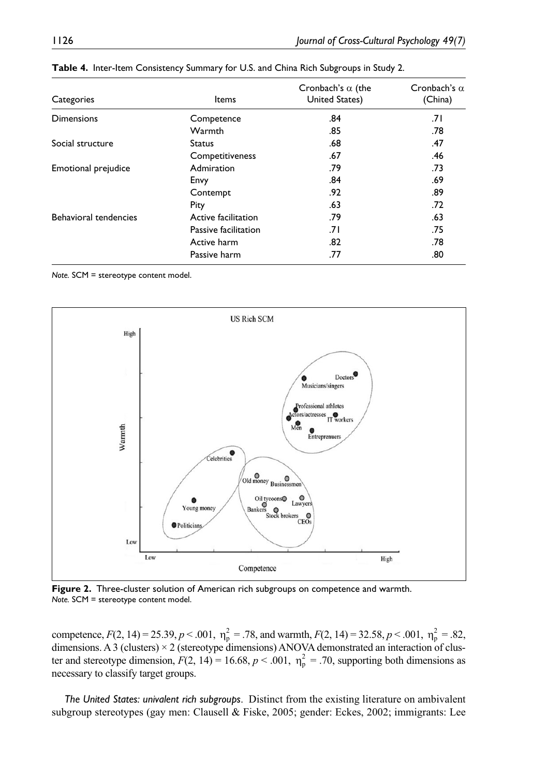| Categories                   | Items                | Cronbach's $\alpha$ (the<br>United States) | Cronbach's $\alpha$<br>(China) |
|------------------------------|----------------------|--------------------------------------------|--------------------------------|
| <b>Dimensions</b>            | Competence           | .84                                        | ا7.                            |
|                              | Warmth               | .85                                        | .78                            |
| Social structure             | <b>Status</b>        | .68                                        | .47                            |
|                              | Competitiveness      | .67                                        | .46                            |
| Emotional prejudice          | Admiration           | .79                                        | .73                            |
|                              | Envy                 | .84                                        | .69                            |
|                              | Contempt             | .92                                        | .89                            |
|                              | Pity                 | .63                                        | .72                            |
| <b>Behavioral tendencies</b> | Active facilitation  | .79                                        | .63                            |
|                              | Passive facilitation | 7١.                                        | .75                            |
|                              | Active harm          | .82                                        | .78                            |
|                              | Passive harm         | .77                                        | .80                            |

**Table 4.** Inter-Item Consistency Summary for U.S. and China Rich Subgroups in Study 2.

*Note.* SCM = stereotype content model.



**Figure 2.** Three-cluster solution of American rich subgroups on competence and warmth. *Note.* SCM = stereotype content model.

competence,  $F(2, 14) = 25.39$ ,  $p < .001$ ,  $\eta_p^2 = .78$ , and warmth,  $F(2, 14) = 32.58$ ,  $p < .001$ ,  $\eta_p^2 = .82$ , dimensions. A 3 (clusters)  $\times$  2 (stereotype dimensions) ANOVA demonstrated an interaction of cluster and stereotype dimension,  $F(2, 14) = 16.68$ ,  $p < .001$ ,  $\eta_p^2 = .70$ , supporting both dimensions as necessary to classify target groups.

*The United States: univalent rich subgroups*. Distinct from the existing literature on ambivalent subgroup stereotypes (gay men: Clausell & Fiske, 2005; gender: Eckes, 2002; immigrants: Lee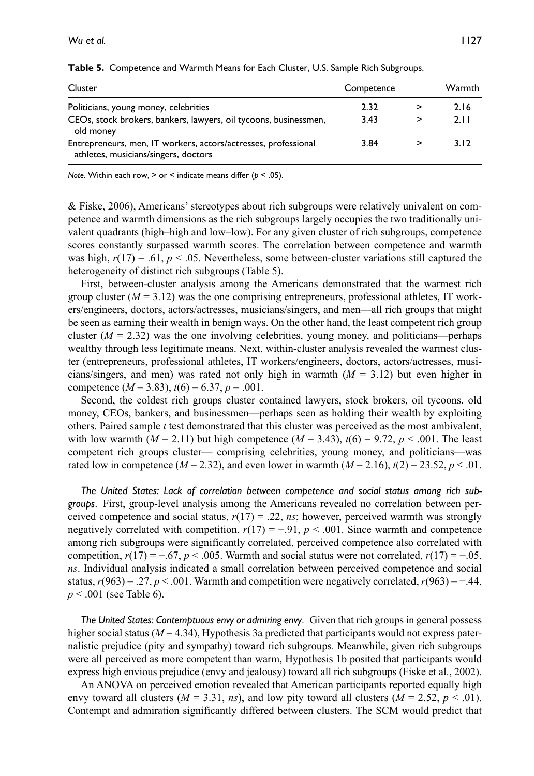| Competence | Warmth |      |  |
|------------|--------|------|--|
| 2.32       |        | 2.16 |  |
| 3.43       |        | 2.11 |  |
| 3.84       |        | 312  |  |
|            |        |      |  |

**Table 5.** Competence and Warmth Means for Each Cluster, U.S. Sample Rich Subgroups.

*Note.* Within each row, > or < indicate means differ (*p* < .05).

& Fiske, 2006), Americans' stereotypes about rich subgroups were relatively univalent on competence and warmth dimensions as the rich subgroups largely occupies the two traditionally univalent quadrants (high–high and low–low). For any given cluster of rich subgroups, competence scores constantly surpassed warmth scores. The correlation between competence and warmth was high,  $r(17) = .61$ ,  $p < .05$ . Nevertheless, some between-cluster variations still captured the heterogeneity of distinct rich subgroups (Table 5).

First, between-cluster analysis among the Americans demonstrated that the warmest rich group cluster  $(M = 3.12)$  was the one comprising entrepreneurs, professional athletes, IT workers/engineers, doctors, actors/actresses, musicians/singers, and men—all rich groups that might be seen as earning their wealth in benign ways. On the other hand, the least competent rich group cluster  $(M = 2.32)$  was the one involving celebrities, young money, and politicians—perhaps wealthy through less legitimate means. Next, within-cluster analysis revealed the warmest cluster (entrepreneurs, professional athletes, IT workers/engineers, doctors, actors/actresses, musicians/singers, and men) was rated not only high in warmth (*M* = 3.12) but even higher in competence  $(M = 3.83)$ ,  $t(6) = 6.37$ ,  $p = .001$ .

Second, the coldest rich groups cluster contained lawyers, stock brokers, oil tycoons, old money, CEOs, bankers, and businessmen—perhaps seen as holding their wealth by exploiting others. Paired sample *t* test demonstrated that this cluster was perceived as the most ambivalent, with low warmth  $(M = 2.11)$  but high competence  $(M = 3.43)$ ,  $t(6) = 9.72$ ,  $p < .001$ . The least competent rich groups cluster— comprising celebrities, young money, and politicians—was rated low in competence ( $M = 2.32$ ), and even lower in warmth ( $M = 2.16$ ),  $t(2) = 23.52$ ,  $p < .01$ .

*The United States: Lack of correlation between competence and social status among rich subgroups*. First, group-level analysis among the Americans revealed no correlation between perceived competence and social status,  $r(17) = .22$ , *ns*; however, perceived warmth was strongly negatively correlated with competition,  $r(17) = -.91$ ,  $p < .001$ . Since warmth and competence among rich subgroups were significantly correlated, perceived competence also correlated with competition,  $r(17) = -.67$ ,  $p < .005$ . Warmth and social status were not correlated,  $r(17) = -.05$ , *ns*. Individual analysis indicated a small correlation between perceived competence and social status,  $r(963) = .27$ ,  $p < .001$ . Warmth and competition were negatively correlated,  $r(963) = -.44$ , *p* < .001 (see Table 6).

*The United States: Contemptuous envy or admiring envy*. Given that rich groups in general possess higher social status  $(M = 4.34)$ , Hypothesis 3a predicted that participants would not express paternalistic prejudice (pity and sympathy) toward rich subgroups. Meanwhile, given rich subgroups were all perceived as more competent than warm, Hypothesis 1b posited that participants would express high envious prejudice (envy and jealousy) toward all rich subgroups (Fiske et al., 2002).

An ANOVA on perceived emotion revealed that American participants reported equally high envy toward all clusters  $(M = 3.31, ns)$ , and low pity toward all clusters  $(M = 2.52, p < .01)$ . Contempt and admiration significantly differed between clusters. The SCM would predict that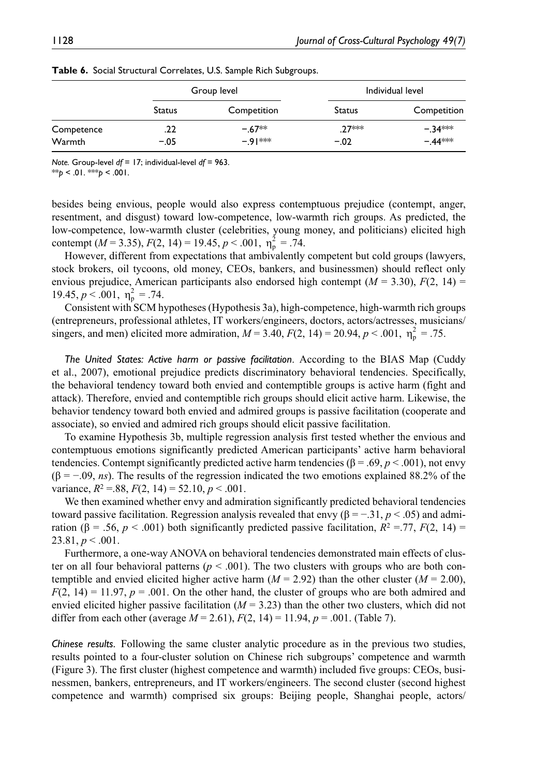|            | Group level   |             | Individual level |             |  |
|------------|---------------|-------------|------------------|-------------|--|
|            | <b>Status</b> | Competition | <b>Status</b>    | Competition |  |
| Competence | .22           | $-67**$     | $27***$          | $-.34***$   |  |
| Warmth     | $-.05$        | $-91***$    | $-.02$           | $-44***$    |  |

**Table 6.** Social Structural Correlates, U.S. Sample Rich Subgroups.

*Note.* Group-level *df* = 17; individual-level *df* = 963.

\*\**p* < .01. \*\*\**p* < .001.

besides being envious, people would also express contemptuous prejudice (contempt, anger, resentment, and disgust) toward low-competence, low-warmth rich groups. As predicted, the low-competence, low-warmth cluster (celebrities, young money, and politicians) elicited high contempt ( $M = 3.35$ ),  $F(2, 14) = 19.45$ ,  $p < .001$ ,  $\eta_p^2 = .74$ .

However, different from expectations that ambivalently competent but cold groups (lawyers, stock brokers, oil tycoons, old money, CEOs, bankers, and businessmen) should reflect only envious prejudice, American participants also endorsed high contempt  $(M = 3.30)$ ,  $F(2, 14) =$  $19.45, p < .001, \eta_p^2 = .74.$ 

Consistent with SCM hypotheses (Hypothesis 3a), high-competence, high-warmth rich groups (entrepreneurs, professional athletes, IT workers/engineers, doctors, actors/actresses, musicians/ singers, and men) elicited more admiration,  $M = 3.40$ ,  $F(2, 14) = 20.94$ ,  $p < .001$ ,  $\eta_p^2 = .75$ .

*The United States: Active harm or passive facilitation*. According to the BIAS Map (Cuddy et al., 2007), emotional prejudice predicts discriminatory behavioral tendencies. Specifically, the behavioral tendency toward both envied and contemptible groups is active harm (fight and attack). Therefore, envied and contemptible rich groups should elicit active harm. Likewise, the behavior tendency toward both envied and admired groups is passive facilitation (cooperate and associate), so envied and admired rich groups should elicit passive facilitation.

To examine Hypothesis 3b, multiple regression analysis first tested whether the envious and contemptuous emotions significantly predicted American participants' active harm behavioral tendencies. Contempt significantly predicted active harm tendencies ( $\beta = .69, p < .001$ ), not envy  $(\beta = -0.09, \text{ns})$ . The results of the regression indicated the two emotions explained 88.2% of the variance,  $R^2 = .88$ ,  $F(2, 14) = 52.10$ ,  $p < .001$ .

We then examined whether envy and admiration significantly predicted behavioral tendencies toward passive facilitation. Regression analysis revealed that envy ( $\beta = -0.31$ ,  $p < 0.05$ ) and admiration (β = .56,  $p < .001$ ) both significantly predicted passive facilitation,  $R<sup>2</sup> = .77$ ,  $F(2, 14) =$  $23.81, p \leq .001$ .

Furthermore, a one-way ANOVA on behavioral tendencies demonstrated main effects of cluster on all four behavioral patterns ( $p < .001$ ). The two clusters with groups who are both contemptible and envied elicited higher active harm (*M* = 2.92) than the other cluster (*M* = 2.00),  $F(2, 14) = 11.97$ ,  $p = .001$ . On the other hand, the cluster of groups who are both admired and envied elicited higher passive facilitation  $(M = 3.23)$  than the other two clusters, which did not differ from each other (average  $M = 2.61$ ),  $F(2, 14) = 11.94$ ,  $p = .001$ . (Table 7).

*Chinese results.* Following the same cluster analytic procedure as in the previous two studies, results pointed to a four-cluster solution on Chinese rich subgroups' competence and warmth (Figure 3). The first cluster (highest competence and warmth) included five groups: CEOs, businessmen, bankers, entrepreneurs, and IT workers/engineers. The second cluster (second highest competence and warmth) comprised six groups: Beijing people, Shanghai people, actors/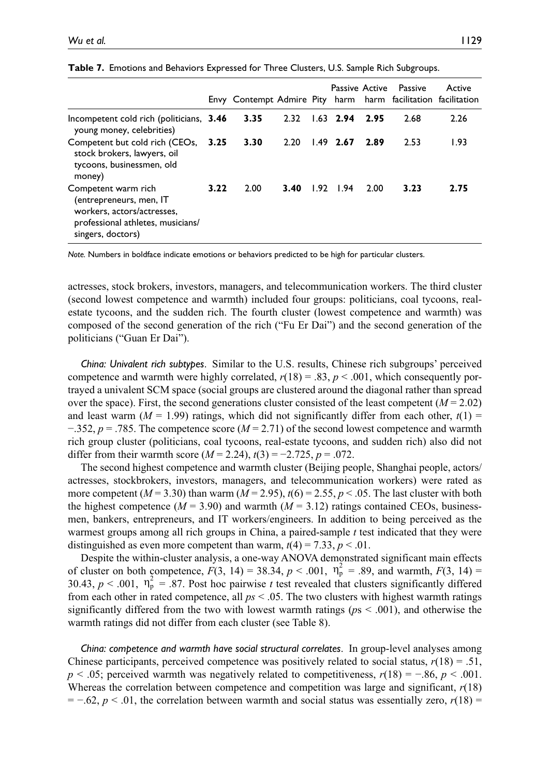|                                                                                                                                        |      |      |      |      |             |      | Passive Active Passive<br>Envy Contempt Admire Pity harm harm facilitation facilitation | Active |
|----------------------------------------------------------------------------------------------------------------------------------------|------|------|------|------|-------------|------|-----------------------------------------------------------------------------------------|--------|
| Incompetent cold rich (politicians, 3.46<br>young money, celebrities)                                                                  |      | 3.35 | 2.32 |      | $1.63$ 2.94 | 2.95 | 2.68                                                                                    | 2.26   |
| Competent but cold rich (CEOs, 3.25<br>stock brokers, lawyers, oil<br>tycoons, businessmen, old<br>money)                              |      | 3.30 | 2.20 |      | $1.49$ 2.67 | 2.89 | 2.53                                                                                    | 1.93   |
| Competent warm rich<br>(entrepreneurs, men, IT<br>workers, actors/actresses,<br>professional athletes, musicians/<br>singers, doctors) | 3.22 | 2.00 | 3.40 | 1.92 | <b>1.94</b> | 2.00 | 3.23                                                                                    | 2.75   |

**Table 7.** Emotions and Behaviors Expressed for Three Clusters, U.S. Sample Rich Subgroups.

*Note.* Numbers in boldface indicate emotions or behaviors predicted to be high for particular clusters.

actresses, stock brokers, investors, managers, and telecommunication workers. The third cluster (second lowest competence and warmth) included four groups: politicians, coal tycoons, realestate tycoons, and the sudden rich. The fourth cluster (lowest competence and warmth) was composed of the second generation of the rich ("Fu Er Dai") and the second generation of the politicians ("Guan Er Dai").

*China: Univalent rich subtypes*. Similar to the U.S. results, Chinese rich subgroups' perceived competence and warmth were highly correlated,  $r(18) = .83$ ,  $p < .001$ , which consequently portrayed a univalent SCM space (social groups are clustered around the diagonal rather than spread over the space). First, the second generations cluster consisted of the least competent  $(M = 2.02)$ and least warm ( $M = 1.99$ ) ratings, which did not significantly differ from each other,  $t(1) =$ −.352, *p* = .785. The competence score (*M* = 2.71) of the second lowest competence and warmth rich group cluster (politicians, coal tycoons, real-estate tycoons, and sudden rich) also did not differ from their warmth score ( $M = 2.24$ ),  $t(3) = -2.725$ ,  $p = .072$ .

The second highest competence and warmth cluster (Beijing people, Shanghai people, actors/ actresses, stockbrokers, investors, managers, and telecommunication workers) were rated as more competent  $(M = 3.30)$  than warm  $(M = 2.95)$ ,  $t(6) = 2.55$ ,  $p < .05$ . The last cluster with both the highest competence ( $M = 3.90$ ) and warmth ( $M = 3.12$ ) ratings contained CEOs, businessmen, bankers, entrepreneurs, and IT workers/engineers. In addition to being perceived as the warmest groups among all rich groups in China, a paired-sample *t* test indicated that they were distinguished as even more competent than warm,  $t(4) = 7.33$ ,  $p < 0.01$ .

Despite the within-cluster analysis, a one-way ANOVA demonstrated significant main effects of cluster on both competence,  $F(3, 14) = 38.34$ ,  $p < .001$ ,  $n_p^2 = .89$ , and warmth,  $F(3, 14) =$ 30.43,  $p < .001$ ,  $\eta_p^2 = .87$ . Post hoc pairwise *t* test revealed that clusters significantly differed from each other in rated competence, all  $ps < .05$ . The two clusters with highest warmth ratings significantly differed from the two with lowest warmth ratings (*p*s < .001), and otherwise the warmth ratings did not differ from each cluster (see Table 8).

*China: competence and warmth have social structural correlates*. In group-level analyses among Chinese participants, perceived competence was positively related to social status,  $r(18) = .51$ ,  $p \le 0.05$ ; perceived warmth was negatively related to competitiveness,  $r(18) = -.86$ ,  $p \le 0.001$ . Whereas the correlation between competence and competition was large and significant,  $r(18)$ = −.62, *p* < .01, the correlation between warmth and social status was essentially zero, *r*(18) =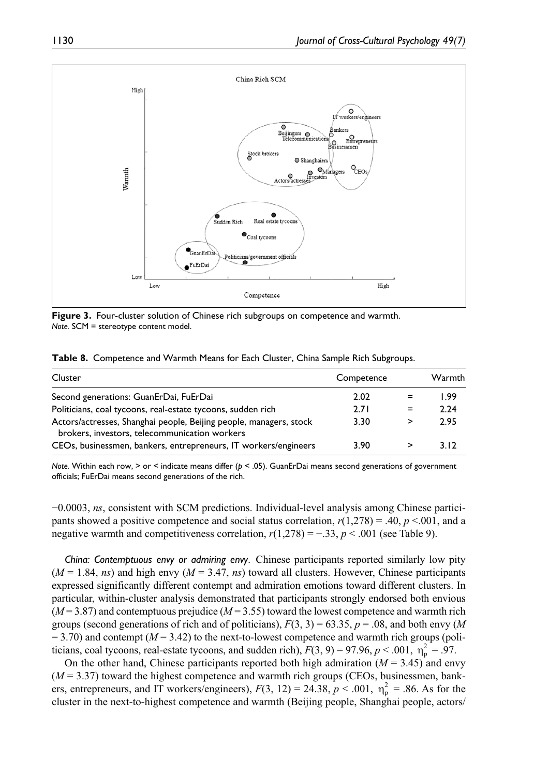

**Figure 3.** Four-cluster solution of Chinese rich subgroups on competence and warmth. *Note.* SCM = stereotype content model.

|         | Table 8. Competence and Warmth Means for Each Cluster, China Sample Rich Subgroups. |  |
|---------|-------------------------------------------------------------------------------------|--|
| Cluster | Competence                                                                          |  |

| Cluster                                                                                                             | Competence |     | Warmth |
|---------------------------------------------------------------------------------------------------------------------|------------|-----|--------|
| Second generations: GuanErDai, FuErDai                                                                              | 2.02       |     | l.99   |
| Politicians, coal tycoons, real-estate tycoons, sudden rich                                                         | 2.71       | $=$ | 2.24   |
| Actors/actresses, Shanghai people, Beijing people, managers, stock<br>brokers, investors, telecommunication workers | 3.30       |     | 2.95   |
| CEO <sub>s</sub> , businessmen, bankers, entrepreneurs, IT workers/engineers                                        | 3.90       |     | 312    |

*Note.* Within each row, > or < indicate means differ (*p* < .05). GuanErDai means second generations of government officials; FuErDai means second generations of the rich.

−0.0003, *ns*, consistent with SCM predictions. Individual-level analysis among Chinese participants showed a positive competence and social status correlation,  $r(1,278) = .40, p < .001$ , and a negative warmth and competitiveness correlation,  $r(1,278) = -.33$ ,  $p < .001$  (see Table 9).

*China: Contemptuous envy or admiring envy*. Chinese participants reported similarly low pity  $(M = 1.84, ns)$  and high envy  $(M = 3.47, ns)$  toward all clusters. However, Chinese participants expressed significantly different contempt and admiration emotions toward different clusters. In particular, within-cluster analysis demonstrated that participants strongly endorsed both envious  $(M=3.87)$  and contemptuous prejudice  $(M=3.55)$  toward the lowest competence and warmth rich groups (second generations of rich and of politicians),  $F(3, 3) = 63.35$ ,  $p = .08$ , and both envy (*M*  $= 3.70$ ) and contempt ( $M = 3.42$ ) to the next-to-lowest competence and warmth rich groups (politicians, coal tycoons, real-estate tycoons, and sudden rich),  $F(3, 9) = 97.96$ ,  $p < .001$ ,  $\eta_p^2 = .97$ .

On the other hand, Chinese participants reported both high admiration  $(M = 3.45)$  and envy (*M* = 3.37) toward the highest competence and warmth rich groups (CEOs, businessmen, bankers, entrepreneurs, and IT workers/engineers),  $F(3, 12) = 24.38$ ,  $p < .001$ ,  $\eta_p^2 = .86$ . As for the cluster in the next-to-highest competence and warmth (Beijing people, Shanghai people, actors/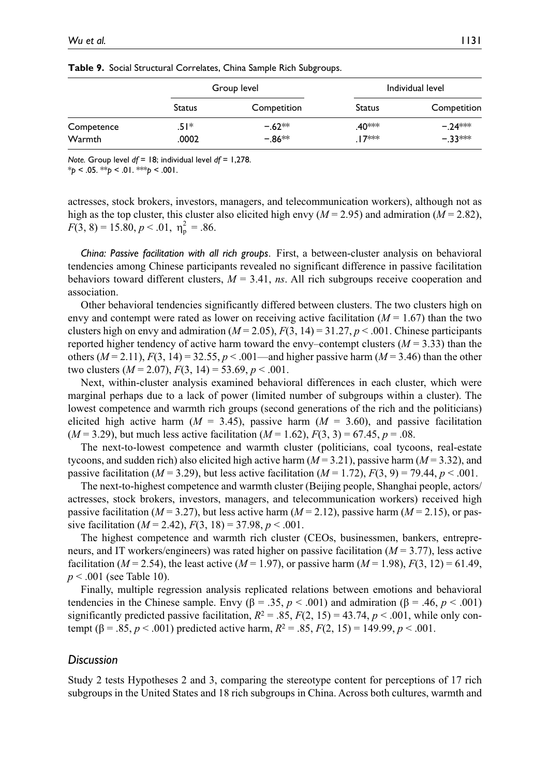|                 | Group level   |             | Individual level |             |  |
|-----------------|---------------|-------------|------------------|-------------|--|
|                 | <b>Status</b> | Competition | <b>Status</b>    | Competition |  |
| Competence      | *ا5.          | $-.62**$    | .40***           | $-24***$    |  |
| Warmth<br>.0002 |               | $-86**$     | $17***$          | $-33***$    |  |

**Table 9.** Social Structural Correlates, China Sample Rich Subgroups.

*Note.* Group level *df* = 18; individual level *df* = 1,278.

\**p* < .05. \*\**p* < .01. \*\*\**p* < .001.

actresses, stock brokers, investors, managers, and telecommunication workers), although not as high as the top cluster, this cluster also elicited high envy ( $M = 2.95$ ) and admiration ( $M = 2.82$ ),  $F(3, 8) = 15.80, p < .01, \eta_p^2 = .86.$ 

*China: Passive facilitation with all rich groups*. First, a between-cluster analysis on behavioral tendencies among Chinese participants revealed no significant difference in passive facilitation behaviors toward different clusters, *M* = 3.41, *ns*. All rich subgroups receive cooperation and association.

Other behavioral tendencies significantly differed between clusters. The two clusters high on envy and contempt were rated as lower on receiving active facilitation  $(M = 1.67)$  than the two clusters high on envy and admiration  $(M = 2.05)$ ,  $F(3, 14) = 31.27$ ,  $p < .001$ . Chinese participants reported higher tendency of active harm toward the envy–contempt clusters (*M* = 3.33) than the others  $(M = 2.11)$ ,  $F(3, 14) = 32.55$ ,  $p < .001$ —and higher passive harm  $(M = 3.46)$  than the other two clusters (*M* = 2.07), *F*(3, 14) = 53.69, *p* < .001.

Next, within-cluster analysis examined behavioral differences in each cluster, which were marginal perhaps due to a lack of power (limited number of subgroups within a cluster). The lowest competence and warmth rich groups (second generations of the rich and the politicians) elicited high active harm ( $M = 3.45$ ), passive harm ( $M = 3.60$ ), and passive facilitation (*M* = 3.29), but much less active facilitation (*M* = 1.62), *F*(3, 3) = 67.45, *p* = .08.

The next-to-lowest competence and warmth cluster (politicians, coal tycoons, real-estate tycoons, and sudden rich) also elicited high active harm (*M* = 3.21), passive harm (*M* = 3.32), and passive facilitation ( $M = 3.29$ ), but less active facilitation ( $M = 1.72$ ),  $F(3, 9) = 79.44$ ,  $p < .001$ .

The next-to-highest competence and warmth cluster (Beijing people, Shanghai people, actors/ actresses, stock brokers, investors, managers, and telecommunication workers) received high passive facilitation ( $M = 3.27$ ), but less active harm ( $M = 2.12$ ), passive harm ( $M = 2.15$ ), or passive facilitation ( $M = 2.42$ ),  $F(3, 18) = 37.98, p < .001$ .

The highest competence and warmth rich cluster (CEOs, businessmen, bankers, entrepreneurs, and IT workers/engineers) was rated higher on passive facilitation (*M* = 3.77), less active facilitation (*M* = 2.54), the least active (*M* = 1.97), or passive harm (*M* = 1.98),  $F(3, 12) = 61.49$ , *p* < .001 (see Table 10).

Finally, multiple regression analysis replicated relations between emotions and behavioral tendencies in the Chinese sample. Envy  $(β = .35, p < .001)$  and admiration  $(β = .46, p < .001)$ significantly predicted passive facilitation,  $R^2 = .85$ ,  $F(2, 15) = 43.74$ ,  $p < .001$ , while only contempt (β = .85,  $p < .001$ ) predicted active harm,  $R^2 = .85$ ,  $F(2, 15) = 149.99$ ,  $p < .001$ .

#### *Discussion*

Study 2 tests Hypotheses 2 and 3, comparing the stereotype content for perceptions of 17 rich subgroups in the United States and 18 rich subgroups in China. Across both cultures, warmth and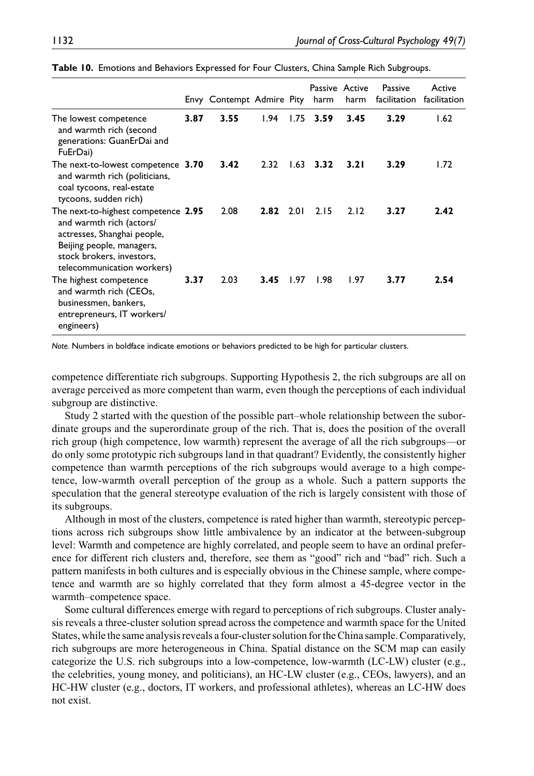|                                                                                                                                                                                        |      | Envy Contempt Admire Pity |             |      | Passive Active<br>harm | harm | Passive<br>facilitation facilitation | Active |
|----------------------------------------------------------------------------------------------------------------------------------------------------------------------------------------|------|---------------------------|-------------|------|------------------------|------|--------------------------------------|--------|
| The lowest competence<br>and warmth rich (second<br>generations: GuanErDai and<br>FuErDai)                                                                                             | 3.87 | 3.55                      | 1.94        | 1.75 | 3.59                   | 3.45 | 3.29                                 | 1.62   |
| The next-to-lowest competence 3.70<br>and warmth rich (politicians,<br>coal tycoons, real-estate<br>tycoons, sudden rich)                                                              |      | 3.42                      | 2.32        | 1.63 | 3.32                   | 3.21 | 3.29                                 | 1.72   |
| The next-to-highest competence 2.95<br>and warmth rich (actors/<br>actresses, Shanghai people,<br>Beijing people, managers,<br>stock brokers, investors,<br>telecommunication workers) |      | 2.08                      | $2.82$ 2.01 |      | 2.15                   | 2.12 | 3.27                                 | 2.42   |
| The highest competence<br>and warmth rich (CEOs,<br>businessmen, bankers,<br>entrepreneurs, IT workers/<br>engineers)                                                                  | 3.37 | 2.03                      | 3.45        | 1.97 | 1.98                   | 1.97 | 3.77                                 | 2.54   |

**Table 10.** Emotions and Behaviors Expressed for Four Clusters, China Sample Rich Subgroups.

*Note.* Numbers in boldface indicate emotions or behaviors predicted to be high for particular clusters.

competence differentiate rich subgroups. Supporting Hypothesis 2, the rich subgroups are all on average perceived as more competent than warm, even though the perceptions of each individual subgroup are distinctive.

Study 2 started with the question of the possible part–whole relationship between the subordinate groups and the superordinate group of the rich. That is, does the position of the overall rich group (high competence, low warmth) represent the average of all the rich subgroups—or do only some prototypic rich subgroups land in that quadrant? Evidently, the consistently higher competence than warmth perceptions of the rich subgroups would average to a high competence, low-warmth overall perception of the group as a whole. Such a pattern supports the speculation that the general stereotype evaluation of the rich is largely consistent with those of its subgroups.

Although in most of the clusters, competence is rated higher than warmth, stereotypic perceptions across rich subgroups show little ambivalence by an indicator at the between-subgroup level: Warmth and competence are highly correlated, and people seem to have an ordinal preference for different rich clusters and, therefore, see them as "good" rich and "bad" rich. Such a pattern manifests in both cultures and is especially obvious in the Chinese sample, where competence and warmth are so highly correlated that they form almost a 45-degree vector in the warmth–competence space.

Some cultural differences emerge with regard to perceptions of rich subgroups. Cluster analysis reveals a three-cluster solution spread across the competence and warmth space for the United States, while the same analysis reveals a four-cluster solution for the China sample. Comparatively, rich subgroups are more heterogeneous in China. Spatial distance on the SCM map can easily categorize the U.S. rich subgroups into a low-competence, low-warmth (LC-LW) cluster (e.g., the celebrities, young money, and politicians), an HC-LW cluster (e.g., CEOs, lawyers), and an HC-HW cluster (e.g., doctors, IT workers, and professional athletes), whereas an LC-HW does not exist.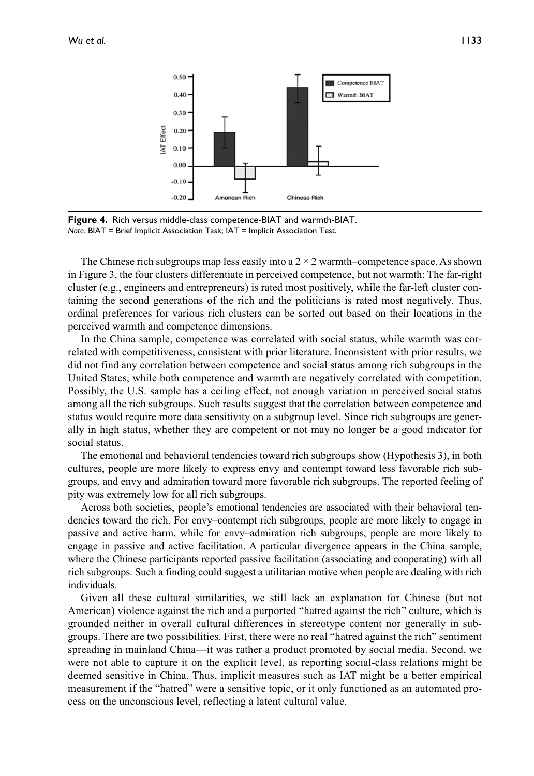

**Figure 4.** Rich versus middle-class competence-BIAT and warmth-BIAT. *Note.* BIAT = Brief Implicit Association Task; IAT = Implicit Association Test.

The Chinese rich subgroups map less easily into a  $2 \times 2$  warmth–competence space. As shown in Figure 3, the four clusters differentiate in perceived competence, but not warmth: The far-right cluster (e.g., engineers and entrepreneurs) is rated most positively, while the far-left cluster containing the second generations of the rich and the politicians is rated most negatively. Thus, ordinal preferences for various rich clusters can be sorted out based on their locations in the perceived warmth and competence dimensions.

In the China sample, competence was correlated with social status, while warmth was correlated with competitiveness, consistent with prior literature. Inconsistent with prior results, we did not find any correlation between competence and social status among rich subgroups in the United States, while both competence and warmth are negatively correlated with competition. Possibly, the U.S. sample has a ceiling effect, not enough variation in perceived social status among all the rich subgroups. Such results suggest that the correlation between competence and status would require more data sensitivity on a subgroup level. Since rich subgroups are generally in high status, whether they are competent or not may no longer be a good indicator for social status.

The emotional and behavioral tendencies toward rich subgroups show (Hypothesis 3), in both cultures, people are more likely to express envy and contempt toward less favorable rich subgroups, and envy and admiration toward more favorable rich subgroups. The reported feeling of pity was extremely low for all rich subgroups.

Across both societies, people's emotional tendencies are associated with their behavioral tendencies toward the rich. For envy–contempt rich subgroups, people are more likely to engage in passive and active harm, while for envy–admiration rich subgroups, people are more likely to engage in passive and active facilitation. A particular divergence appears in the China sample, where the Chinese participants reported passive facilitation (associating and cooperating) with all rich subgroups. Such a finding could suggest a utilitarian motive when people are dealing with rich individuals.

Given all these cultural similarities, we still lack an explanation for Chinese (but not American) violence against the rich and a purported "hatred against the rich" culture, which is grounded neither in overall cultural differences in stereotype content nor generally in subgroups. There are two possibilities. First, there were no real "hatred against the rich" sentiment spreading in mainland China—it was rather a product promoted by social media. Second, we were not able to capture it on the explicit level, as reporting social-class relations might be deemed sensitive in China. Thus, implicit measures such as IAT might be a better empirical measurement if the "hatred" were a sensitive topic, or it only functioned as an automated process on the unconscious level, reflecting a latent cultural value.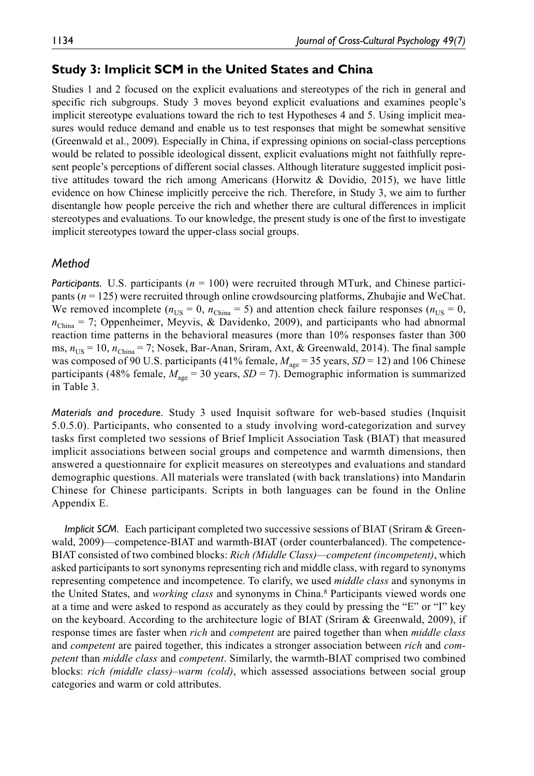# **Study 3: Implicit SCM in the United States and China**

Studies 1 and 2 focused on the explicit evaluations and stereotypes of the rich in general and specific rich subgroups. Study 3 moves beyond explicit evaluations and examines people's implicit stereotype evaluations toward the rich to test Hypotheses 4 and 5. Using implicit measures would reduce demand and enable us to test responses that might be somewhat sensitive (Greenwald et al., 2009). Especially in China, if expressing opinions on social-class perceptions would be related to possible ideological dissent, explicit evaluations might not faithfully represent people's perceptions of different social classes. Although literature suggested implicit positive attitudes toward the rich among Americans (Horwitz & Dovidio, 2015), we have little evidence on how Chinese implicitly perceive the rich. Therefore, in Study 3, we aim to further disentangle how people perceive the rich and whether there are cultural differences in implicit stereotypes and evaluations. To our knowledge, the present study is one of the first to investigate implicit stereotypes toward the upper-class social groups.

## *Method*

*Participants.* U.S. participants (*n* = 100) were recruited through MTurk, and Chinese participants (*n* = 125) were recruited through online crowdsourcing platforms, Zhubajie and WeChat. We removed incomplete ( $n_{US} = 0$ ,  $n_{China} = 5$ ) and attention check failure responses ( $n_{US} = 0$ ,  $n_{\text{China}} = 7$ ; Oppenheimer, Meyvis, & Davidenko, 2009), and participants who had abnormal reaction time patterns in the behavioral measures (more than 10% responses faster than 300 ms,  $n_{\text{US}} = 10$ ,  $n_{\text{China}} = 7$ ; Nosek, Bar-Anan, Sriram, Axt, & Greenwald, 2014). The final sample was composed of 90 U.S. participants (41% female,  $M_{\text{age}} = 35$  years,  $SD = 12$ ) and 106 Chinese participants (48% female,  $M_{\text{age}} = 30$  years,  $SD = 7$ ). Demographic information is summarized in Table 3.

*Materials and procedure.* Study 3 used Inquisit software for web-based studies (Inquisit 5.0.5.0). Participants, who consented to a study involving word-categorization and survey tasks first completed two sessions of Brief Implicit Association Task (BIAT) that measured implicit associations between social groups and competence and warmth dimensions, then answered a questionnaire for explicit measures on stereotypes and evaluations and standard demographic questions. All materials were translated (with back translations) into Mandarin Chinese for Chinese participants. Scripts in both languages can be found in the Online Appendix E.

*Implicit SCM*. Each participant completed two successive sessions of BIAT (Sriram & Greenwald, 2009)—competence-BIAT and warmth-BIAT (order counterbalanced). The competence-BIAT consisted of two combined blocks: *Rich (Middle Class)—competent (incompetent)*, which asked participants to sort synonyms representing rich and middle class, with regard to synonyms representing competence and incompetence. To clarify, we used *middle class* and synonyms in the United States, and *working class* and synonyms in China.8 Participants viewed words one at a time and were asked to respond as accurately as they could by pressing the "E" or "I" key on the keyboard. According to the architecture logic of BIAT (Sriram & Greenwald, 2009), if response times are faster when *rich* and *competent* are paired together than when *middle class* and *competent* are paired together, this indicates a stronger association between *rich* and *competent* than *middle class* and *competent*. Similarly, the warmth-BIAT comprised two combined blocks: *rich (middle class)–warm (cold)*, which assessed associations between social group categories and warm or cold attributes.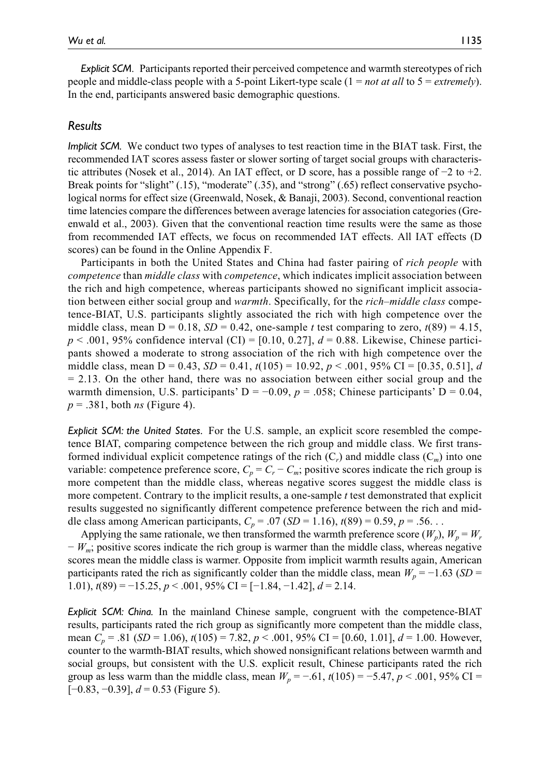*Explicit SCM*. Participants reported their perceived competence and warmth stereotypes of rich people and middle-class people with a 5-point Likert-type scale (1 = *not at all* to 5 = *extremely*). In the end, participants answered basic demographic questions.

#### *Results*

*Implicit SCM.* We conduct two types of analyses to test reaction time in the BIAT task. First, the recommended IAT scores assess faster or slower sorting of target social groups with characteristic attributes (Nosek et al., 2014). An IAT effect, or D score, has a possible range of −2 to +2. Break points for "slight" (.15), "moderate" (.35), and "strong" (.65) reflect conservative psychological norms for effect size (Greenwald, Nosek, & Banaji, 2003). Second, conventional reaction time latencies compare the differences between average latencies for association categories (Greenwald et al., 2003). Given that the conventional reaction time results were the same as those from recommended IAT effects, we focus on recommended IAT effects. All IAT effects (D scores) can be found in the Online Appendix F.

Participants in both the United States and China had faster pairing of *rich people* with *competence* than *middle class* with *competence*, which indicates implicit association between the rich and high competence, whereas participants showed no significant implicit association between either social group and *warmth*. Specifically, for the *rich–middle class* competence-BIAT, U.S. participants slightly associated the rich with high competence over the middle class, mean  $D = 0.18$ ,  $SD = 0.42$ , one-sample *t* test comparing to zero,  $t(89) = 4.15$ ,  $p < .001, 95\%$  confidence interval (CI) = [0.10, 0.27],  $d = 0.88$ . Likewise, Chinese participants showed a moderate to strong association of the rich with high competence over the middle class, mean D = 0.43, *SD* = 0.41, *t*(105) = 10.92, *p* < .001, 95% CI = [0.35, 0.51], *d*  $= 2.13$ . On the other hand, there was no association between either social group and the warmth dimension, U.S. participants' D =  $-0.09$ ,  $p = .058$ ; Chinese participants' D = 0.04, *p* = .381, both *ns* (Figure 4).

*Explicit SCM: the United States.* For the U.S. sample, an explicit score resembled the competence BIAT, comparing competence between the rich group and middle class. We first transformed individual explicit competence ratings of the rich  $(C_r)$  and middle class  $(C_m)$  into one variable: competence preference score,  $C_p = C_r - C_m$ ; positive scores indicate the rich group is more competent than the middle class, whereas negative scores suggest the middle class is more competent. Contrary to the implicit results, a one-sample *t* test demonstrated that explicit results suggested no significantly different competence preference between the rich and middle class among American participants,  $C_p = .07$  (*SD* = 1.16),  $t(89) = 0.59$ ,  $p = .56$ ...

Applying the same rationale, we then transformed the warmth preference score  $(W_p)$ ,  $W_p = W_r$ − *Wm*; positive scores indicate the rich group is warmer than the middle class, whereas negative scores mean the middle class is warmer. Opposite from implicit warmth results again, American participants rated the rich as significantly colder than the middle class, mean  $W_p = -1.63$  (*SD* = 1.01), *t*(89) = −15.25, *p* < .001, 95% CI = [−1.84, −1.42], *d* = 2.14.

*Explicit SCM: China.* In the mainland Chinese sample, congruent with the competence-BIAT results, participants rated the rich group as significantly more competent than the middle class, mean *Cp* = .81 (*SD* = 1.06), *t*(105) = 7.82, *p* < .001, 95% CI = [0.60, 1.01], *d* = 1.00. However, counter to the warmth-BIAT results, which showed nonsignificant relations between warmth and social groups, but consistent with the U.S. explicit result, Chinese participants rated the rich group as less warm than the middle class, mean  $W_p = -.61$ ,  $t(105) = -5.47$ ,  $p < .001$ , 95% CI = [−0.83, −0.39], *d* = 0.53 (Figure 5).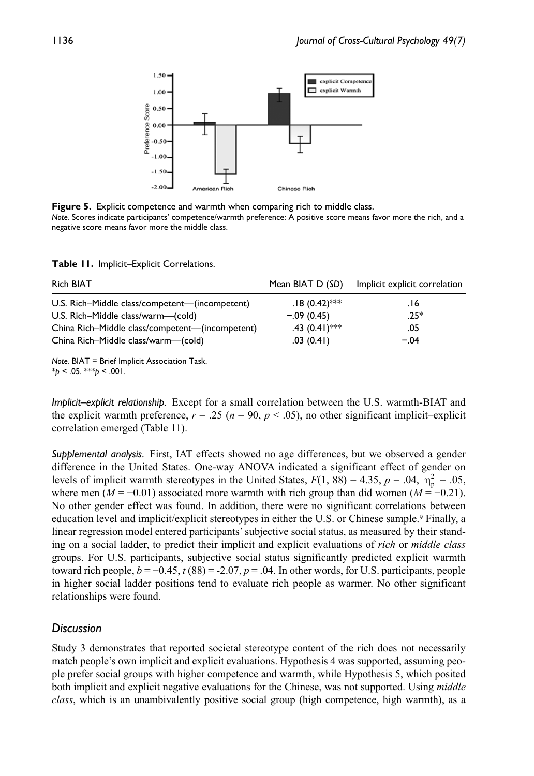

**Figure 5.** Explicit competence and warmth when comparing rich to middle class. *Note.* Scores indicate participants' competence/warmth preference: A positive score means favor more the rich, and a negative score means favor more the middle class.

|  | Table II. Implicit-Explicit Correlations. |  |
|--|-------------------------------------------|--|
|--|-------------------------------------------|--|

| <b>Rich BIAT</b>                                | Mean BIAT D (SD) | Implicit explicit correlation |
|-------------------------------------------------|------------------|-------------------------------|
| U.S. Rich-Middle class/competent-(incompetent)  | $.18(0.42)$ ***  | . 16                          |
| U.S. Rich-Middle class/warm-(cold)              | $-.09(0.45)$     | $.25*$                        |
| China Rich-Middle class/competent-(incompetent) | .43 $(0.41)$ *** | .05                           |
| China Rich-Middle class/warm-(cold)             | .03(0.41)        | $-.04$                        |

*Note.* BIAT = Brief Implicit Association Task.  $*_{p}$  < .05. \*\*\**p* < .001.

*Implicit–explicit relationship.* Except for a small correlation between the U.S. warmth-BIAT and the explicit warmth preference,  $r = .25$  ( $n = 90$ ,  $p < .05$ ), no other significant implicit–explicit correlation emerged (Table 11).

*Supplemental analysis.* First, IAT effects showed no age differences, but we observed a gender difference in the United States. One-way ANOVA indicated a significant effect of gender on levels of implicit warmth stereotypes in the United States,  $F(1, 88) = 4.35$ ,  $p = .04$ ,  $\eta_p^2 = .05$ , where men ( $M = -0.01$ ) associated more warmth with rich group than did women ( $M = -0.21$ ). No other gender effect was found. In addition, there were no significant correlations between education level and implicit/explicit stereotypes in either the U.S. or Chinese sample.<sup>9</sup> Finally, a linear regression model entered participants' subjective social status, as measured by their standing on a social ladder, to predict their implicit and explicit evaluations of *rich* or *middle class* groups. For U.S. participants, subjective social status significantly predicted explicit warmth toward rich people,  $b = -0.45$ ,  $t(88) = -2.07$ ,  $p = 0.04$ . In other words, for U.S. participants, people in higher social ladder positions tend to evaluate rich people as warmer. No other significant relationships were found.

# *Discussion*

Study 3 demonstrates that reported societal stereotype content of the rich does not necessarily match people's own implicit and explicit evaluations. Hypothesis 4 was supported, assuming people prefer social groups with higher competence and warmth, while Hypothesis 5, which posited both implicit and explicit negative evaluations for the Chinese, was not supported. Using *middle class*, which is an unambivalently positive social group (high competence, high warmth), as a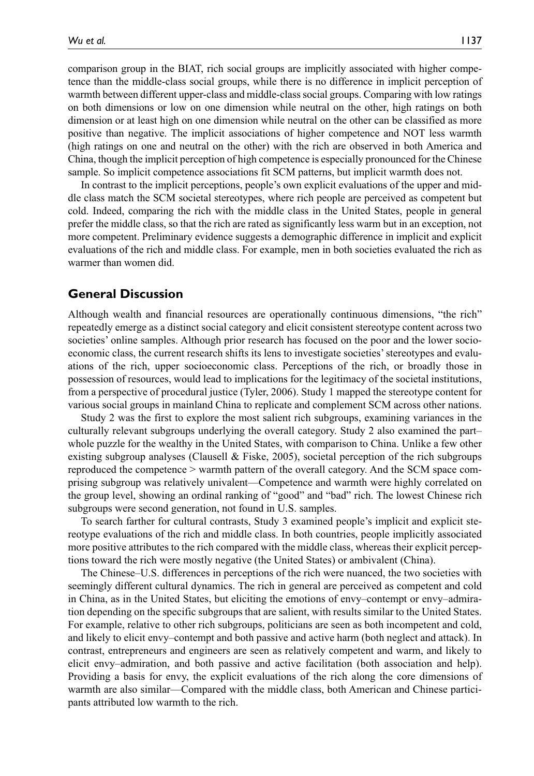comparison group in the BIAT, rich social groups are implicitly associated with higher competence than the middle-class social groups, while there is no difference in implicit perception of warmth between different upper-class and middle-class social groups. Comparing with low ratings on both dimensions or low on one dimension while neutral on the other, high ratings on both dimension or at least high on one dimension while neutral on the other can be classified as more positive than negative. The implicit associations of higher competence and NOT less warmth (high ratings on one and neutral on the other) with the rich are observed in both America and China, though the implicit perception of high competence is especially pronounced for the Chinese sample. So implicit competence associations fit SCM patterns, but implicit warmth does not.

In contrast to the implicit perceptions, people's own explicit evaluations of the upper and middle class match the SCM societal stereotypes, where rich people are perceived as competent but cold. Indeed, comparing the rich with the middle class in the United States, people in general prefer the middle class, so that the rich are rated as significantly less warm but in an exception, not more competent. Preliminary evidence suggests a demographic difference in implicit and explicit evaluations of the rich and middle class. For example, men in both societies evaluated the rich as warmer than women did.

## **General Discussion**

Although wealth and financial resources are operationally continuous dimensions, "the rich" repeatedly emerge as a distinct social category and elicit consistent stereotype content across two societies' online samples. Although prior research has focused on the poor and the lower socioeconomic class, the current research shifts its lens to investigate societies' stereotypes and evaluations of the rich, upper socioeconomic class. Perceptions of the rich, or broadly those in possession of resources, would lead to implications for the legitimacy of the societal institutions, from a perspective of procedural justice (Tyler, 2006). Study 1 mapped the stereotype content for various social groups in mainland China to replicate and complement SCM across other nations.

Study 2 was the first to explore the most salient rich subgroups, examining variances in the culturally relevant subgroups underlying the overall category. Study 2 also examined the part– whole puzzle for the wealthy in the United States, with comparison to China. Unlike a few other existing subgroup analyses (Clausell  $\&$  Fiske, 2005), societal perception of the rich subgroups reproduced the competence > warmth pattern of the overall category. And the SCM space comprising subgroup was relatively univalent—Competence and warmth were highly correlated on the group level, showing an ordinal ranking of "good" and "bad" rich. The lowest Chinese rich subgroups were second generation, not found in U.S. samples.

To search farther for cultural contrasts, Study 3 examined people's implicit and explicit stereotype evaluations of the rich and middle class. In both countries, people implicitly associated more positive attributes to the rich compared with the middle class, whereas their explicit perceptions toward the rich were mostly negative (the United States) or ambivalent (China).

The Chinese–U.S. differences in perceptions of the rich were nuanced, the two societies with seemingly different cultural dynamics. The rich in general are perceived as competent and cold in China, as in the United States, but eliciting the emotions of envy–contempt or envy–admiration depending on the specific subgroups that are salient, with results similar to the United States. For example, relative to other rich subgroups, politicians are seen as both incompetent and cold, and likely to elicit envy–contempt and both passive and active harm (both neglect and attack). In contrast, entrepreneurs and engineers are seen as relatively competent and warm, and likely to elicit envy–admiration, and both passive and active facilitation (both association and help). Providing a basis for envy, the explicit evaluations of the rich along the core dimensions of warmth are also similar—Compared with the middle class, both American and Chinese participants attributed low warmth to the rich.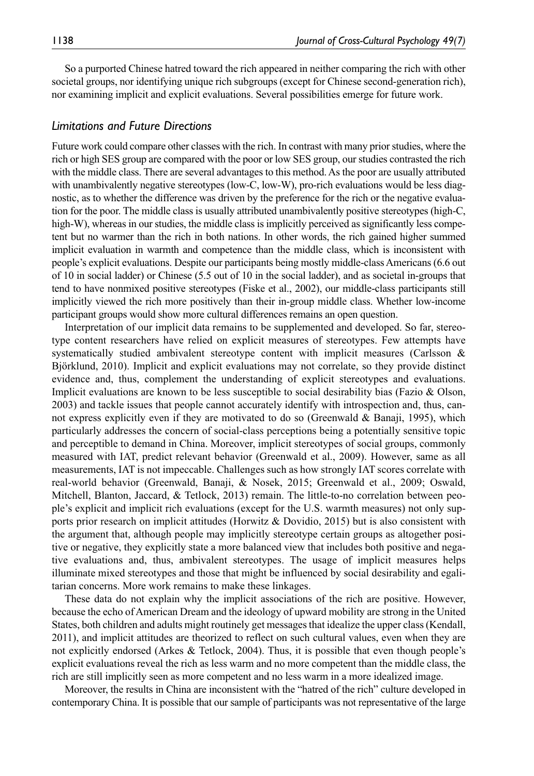So a purported Chinese hatred toward the rich appeared in neither comparing the rich with other societal groups, nor identifying unique rich subgroups (except for Chinese second-generation rich), nor examining implicit and explicit evaluations. Several possibilities emerge for future work.

#### *Limitations and Future Directions*

Future work could compare other classes with the rich. In contrast with many prior studies, where the rich or high SES group are compared with the poor or low SES group, our studies contrasted the rich with the middle class. There are several advantages to this method. As the poor are usually attributed with unambivalently negative stereotypes (low-C, low-W), pro-rich evaluations would be less diagnostic, as to whether the difference was driven by the preference for the rich or the negative evaluation for the poor. The middle class is usually attributed unambivalently positive stereotypes (high-C, high-W), whereas in our studies, the middle class is implicitly perceived as significantly less competent but no warmer than the rich in both nations. In other words, the rich gained higher summed implicit evaluation in warmth and competence than the middle class, which is inconsistent with people's explicit evaluations. Despite our participants being mostly middle-class Americans (6.6 out of 10 in social ladder) or Chinese (5.5 out of 10 in the social ladder), and as societal in-groups that tend to have nonmixed positive stereotypes (Fiske et al., 2002), our middle-class participants still implicitly viewed the rich more positively than their in-group middle class. Whether low-income participant groups would show more cultural differences remains an open question.

Interpretation of our implicit data remains to be supplemented and developed. So far, stereotype content researchers have relied on explicit measures of stereotypes. Few attempts have systematically studied ambivalent stereotype content with implicit measures (Carlsson & Björklund, 2010). Implicit and explicit evaluations may not correlate, so they provide distinct evidence and, thus, complement the understanding of explicit stereotypes and evaluations. Implicit evaluations are known to be less susceptible to social desirability bias (Fazio  $\&$  Olson, 2003) and tackle issues that people cannot accurately identify with introspection and, thus, cannot express explicitly even if they are motivated to do so (Greenwald & Banaji, 1995), which particularly addresses the concern of social-class perceptions being a potentially sensitive topic and perceptible to demand in China. Moreover, implicit stereotypes of social groups, commonly measured with IAT, predict relevant behavior (Greenwald et al., 2009). However, same as all measurements, IAT is not impeccable. Challenges such as how strongly IAT scores correlate with real-world behavior (Greenwald, Banaji, & Nosek, 2015; Greenwald et al., 2009; Oswald, Mitchell, Blanton, Jaccard, & Tetlock, 2013) remain. The little-to-no correlation between people's explicit and implicit rich evaluations (except for the U.S. warmth measures) not only supports prior research on implicit attitudes (Horwitz & Dovidio, 2015) but is also consistent with the argument that, although people may implicitly stereotype certain groups as altogether positive or negative, they explicitly state a more balanced view that includes both positive and negative evaluations and, thus, ambivalent stereotypes. The usage of implicit measures helps illuminate mixed stereotypes and those that might be influenced by social desirability and egalitarian concerns. More work remains to make these linkages.

These data do not explain why the implicit associations of the rich are positive. However, because the echo of American Dream and the ideology of upward mobility are strong in the United States, both children and adults might routinely get messages that idealize the upper class (Kendall, 2011), and implicit attitudes are theorized to reflect on such cultural values, even when they are not explicitly endorsed (Arkes & Tetlock, 2004). Thus, it is possible that even though people's explicit evaluations reveal the rich as less warm and no more competent than the middle class, the rich are still implicitly seen as more competent and no less warm in a more idealized image.

Moreover, the results in China are inconsistent with the "hatred of the rich" culture developed in contemporary China. It is possible that our sample of participants was not representative of the large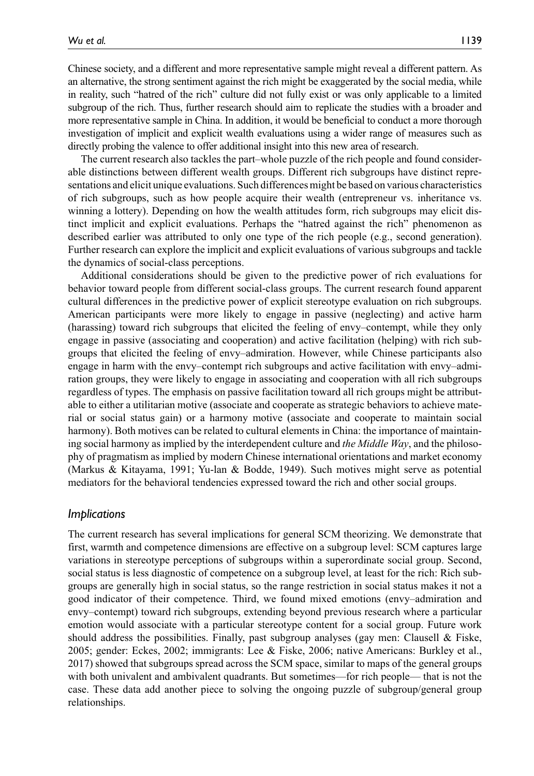Chinese society, and a different and more representative sample might reveal a different pattern. As an alternative, the strong sentiment against the rich might be exaggerated by the social media, while in reality, such "hatred of the rich" culture did not fully exist or was only applicable to a limited subgroup of the rich. Thus, further research should aim to replicate the studies with a broader and more representative sample in China. In addition, it would be beneficial to conduct a more thorough investigation of implicit and explicit wealth evaluations using a wider range of measures such as directly probing the valence to offer additional insight into this new area of research.

The current research also tackles the part–whole puzzle of the rich people and found considerable distinctions between different wealth groups. Different rich subgroups have distinct representations and elicit unique evaluations. Such differences might be based on various characteristics of rich subgroups, such as how people acquire their wealth (entrepreneur vs. inheritance vs. winning a lottery). Depending on how the wealth attitudes form, rich subgroups may elicit distinct implicit and explicit evaluations. Perhaps the "hatred against the rich" phenomenon as described earlier was attributed to only one type of the rich people (e.g., second generation). Further research can explore the implicit and explicit evaluations of various subgroups and tackle the dynamics of social-class perceptions.

Additional considerations should be given to the predictive power of rich evaluations for behavior toward people from different social-class groups. The current research found apparent cultural differences in the predictive power of explicit stereotype evaluation on rich subgroups. American participants were more likely to engage in passive (neglecting) and active harm (harassing) toward rich subgroups that elicited the feeling of envy–contempt, while they only engage in passive (associating and cooperation) and active facilitation (helping) with rich subgroups that elicited the feeling of envy–admiration. However, while Chinese participants also engage in harm with the envy–contempt rich subgroups and active facilitation with envy–admiration groups, they were likely to engage in associating and cooperation with all rich subgroups regardless of types. The emphasis on passive facilitation toward all rich groups might be attributable to either a utilitarian motive (associate and cooperate as strategic behaviors to achieve material or social status gain) or a harmony motive (associate and cooperate to maintain social harmony). Both motives can be related to cultural elements in China: the importance of maintaining social harmony as implied by the interdependent culture and *the Middle Way*, and the philosophy of pragmatism as implied by modern Chinese international orientations and market economy (Markus & Kitayama, 1991; Yu-lan & Bodde, 1949). Such motives might serve as potential mediators for the behavioral tendencies expressed toward the rich and other social groups.

#### *Implications*

The current research has several implications for general SCM theorizing. We demonstrate that first, warmth and competence dimensions are effective on a subgroup level: SCM captures large variations in stereotype perceptions of subgroups within a superordinate social group. Second, social status is less diagnostic of competence on a subgroup level, at least for the rich: Rich subgroups are generally high in social status, so the range restriction in social status makes it not a good indicator of their competence. Third, we found mixed emotions (envy–admiration and envy–contempt) toward rich subgroups, extending beyond previous research where a particular emotion would associate with a particular stereotype content for a social group. Future work should address the possibilities. Finally, past subgroup analyses (gay men: Clausell & Fiske, 2005; gender: Eckes, 2002; immigrants: Lee & Fiske, 2006; native Americans: Burkley et al., 2017) showed that subgroups spread across the SCM space, similar to maps of the general groups with both univalent and ambivalent quadrants. But sometimes—for rich people— that is not the case. These data add another piece to solving the ongoing puzzle of subgroup/general group relationships.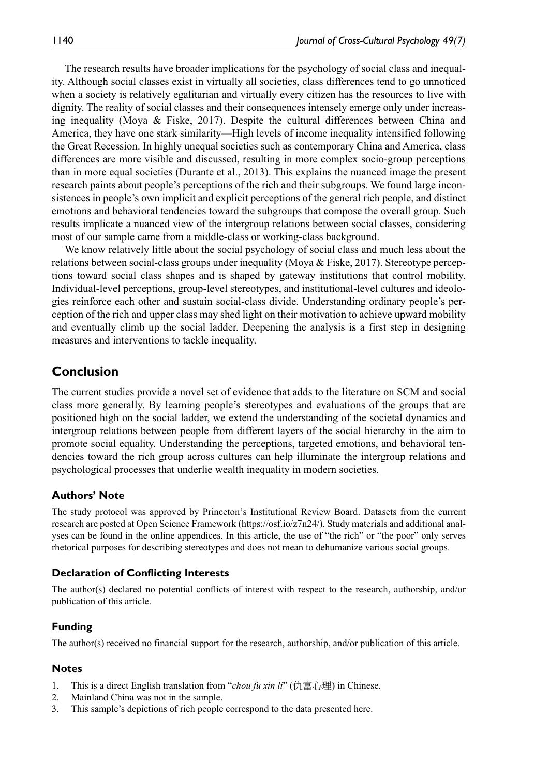The research results have broader implications for the psychology of social class and inequality. Although social classes exist in virtually all societies, class differences tend to go unnoticed when a society is relatively egalitarian and virtually every citizen has the resources to live with dignity. The reality of social classes and their consequences intensely emerge only under increasing inequality (Moya & Fiske, 2017). Despite the cultural differences between China and America, they have one stark similarity—High levels of income inequality intensified following the Great Recession. In highly unequal societies such as contemporary China and America, class differences are more visible and discussed, resulting in more complex socio-group perceptions than in more equal societies (Durante et al., 2013). This explains the nuanced image the present research paints about people's perceptions of the rich and their subgroups. We found large inconsistences in people's own implicit and explicit perceptions of the general rich people, and distinct emotions and behavioral tendencies toward the subgroups that compose the overall group. Such results implicate a nuanced view of the intergroup relations between social classes, considering most of our sample came from a middle-class or working-class background.

We know relatively little about the social psychology of social class and much less about the relations between social-class groups under inequality (Moya & Fiske, 2017). Stereotype perceptions toward social class shapes and is shaped by gateway institutions that control mobility. Individual-level perceptions, group-level stereotypes, and institutional-level cultures and ideologies reinforce each other and sustain social-class divide. Understanding ordinary people's perception of the rich and upper class may shed light on their motivation to achieve upward mobility and eventually climb up the social ladder. Deepening the analysis is a first step in designing measures and interventions to tackle inequality.

# **Conclusion**

The current studies provide a novel set of evidence that adds to the literature on SCM and social class more generally. By learning people's stereotypes and evaluations of the groups that are positioned high on the social ladder, we extend the understanding of the societal dynamics and intergroup relations between people from different layers of the social hierarchy in the aim to promote social equality. Understanding the perceptions, targeted emotions, and behavioral tendencies toward the rich group across cultures can help illuminate the intergroup relations and psychological processes that underlie wealth inequality in modern societies.

## **Authors' Note**

The study protocol was approved by Princeton's Institutional Review Board. Datasets from the current research are posted at Open Science Framework [\(https://osf.io/z7n24/](https://osf.io/z7n24/)). Study materials and additional analyses can be found in the online appendices. In this article, the use of "the rich" or "the poor" only serves rhetorical purposes for describing stereotypes and does not mean to dehumanize various social groups.

#### **Declaration of Conflicting Interests**

The author(s) declared no potential conflicts of interest with respect to the research, authorship, and/or publication of this article.

#### **Funding**

The author(s) received no financial support for the research, authorship, and/or publication of this article.

#### **Notes**

- 1. This is a direct English translation from "*chou fu xin li*" (仇富心理) in Chinese.
- 2. Mainland China was not in the sample.
- 3. This sample's depictions of rich people correspond to the data presented here.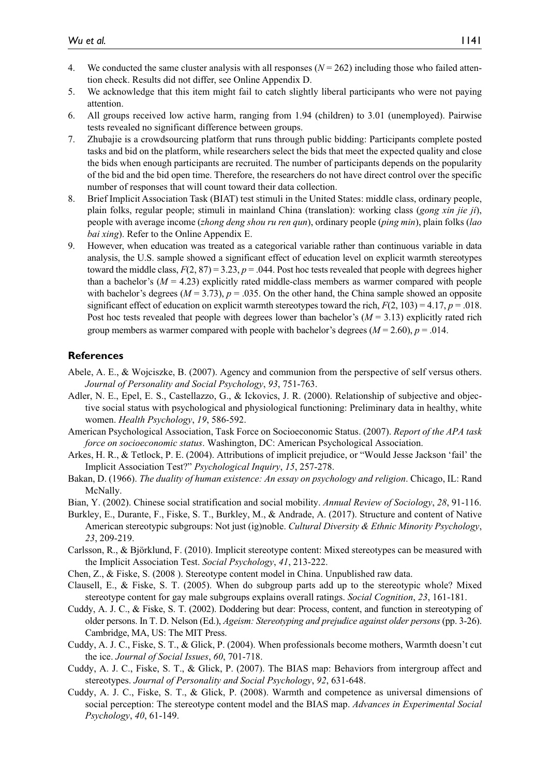- 4. We conducted the same cluster analysis with all responses  $(N = 262)$  including those who failed attention check. Results did not differ, see Online Appendix D.
- 5. We acknowledge that this item might fail to catch slightly liberal participants who were not paying attention.
- 6. All groups received low active harm, ranging from 1.94 (children) to 3.01 (unemployed). Pairwise tests revealed no significant difference between groups.
- 7. Zhubajie is a crowdsourcing platform that runs through public bidding: Participants complete posted tasks and bid on the platform, while researchers select the bids that meet the expected quality and close the bids when enough participants are recruited. The number of participants depends on the popularity of the bid and the bid open time. Therefore, the researchers do not have direct control over the specific number of responses that will count toward their data collection.
- 8. Brief Implicit Association Task (BIAT) test stimuli in the United States: middle class, ordinary people, plain folks, regular people; stimuli in mainland China (translation): working class (*gong xin jie ji*), people with average income (*zhong deng shou ru ren qun*), ordinary people (*ping min*), plain folks (*lao bai xing*). Refer to the Online Appendix E.
- 9. However, when education was treated as a categorical variable rather than continuous variable in data analysis, the U.S. sample showed a significant effect of education level on explicit warmth stereotypes toward the middle class,  $F(2, 87) = 3.23$ ,  $p = .044$ . Post hoc tests revealed that people with degrees higher than a bachelor's  $(M = 4.23)$  explicitly rated middle-class members as warmer compared with people with bachelor's degrees ( $M = 3.73$ ),  $p = .035$ . On the other hand, the China sample showed an opposite significant effect of education on explicit warmth stereotypes toward the rich,  $F(2, 103) = 4.17$ ,  $p = .018$ . Post hoc tests revealed that people with degrees lower than bachelor's  $(M = 3.13)$  explicitly rated rich group members as warmer compared with people with bachelor's degrees  $(M = 2.60)$ ,  $p = .014$ .

#### **References**

- Abele, A. E., & Wojciszke, B. (2007). Agency and communion from the perspective of self versus others. *Journal of Personality and Social Psychology*, *93*, 751-763.
- Adler, N. E., Epel, E. S., Castellazzo, G., & Ickovics, J. R. (2000). Relationship of subjective and objective social status with psychological and physiological functioning: Preliminary data in healthy, white women. *Health Psychology*, *19*, 586-592.
- American Psychological Association, Task Force on Socioeconomic Status. (2007). *Report of the APA task force on socioeconomic status*. Washington, DC: American Psychological Association.
- Arkes, H. R., & Tetlock, P. E. (2004). Attributions of implicit prejudice, or "Would Jesse Jackson 'fail' the Implicit Association Test?" *Psychological Inquiry*, *15*, 257-278.
- Bakan, D. (1966). *The duality of human existence: An essay on psychology and religion*. Chicago, IL: Rand McNally.
- Bian, Y. (2002). Chinese social stratification and social mobility. *Annual Review of Sociology*, *28*, 91-116.
- Burkley, E., Durante, F., Fiske, S. T., Burkley, M., & Andrade, A. (2017). Structure and content of Native American stereotypic subgroups: Not just (ig)noble. *Cultural Diversity & Ethnic Minority Psychology*, *23*, 209-219.
- Carlsson, R., & Björklund, F. (2010). Implicit stereotype content: Mixed stereotypes can be measured with the Implicit Association Test. *Social Psychology*, *41*, 213-222.
- Chen, Z., & Fiske, S. (2008 ). Stereotype content model in China. Unpublished raw data.
- Clausell, E., & Fiske, S. T. (2005). When do subgroup parts add up to the stereotypic whole? Mixed stereotype content for gay male subgroups explains overall ratings. *Social Cognition*, *23*, 161-181.
- Cuddy, A. J. C., & Fiske, S. T. (2002). Doddering but dear: Process, content, and function in stereotyping of older persons. In T. D. Nelson (Ed.), *Ageism: Stereotyping and prejudice against older persons* (pp. 3-26). Cambridge, MA, US: The MIT Press.
- Cuddy, A. J. C., Fiske, S. T., & Glick, P. (2004). When professionals become mothers, Warmth doesn't cut the ice. *Journal of Social Issues*, *60*, 701-718.
- Cuddy, A. J. C., Fiske, S. T., & Glick, P. (2007). The BIAS map: Behaviors from intergroup affect and stereotypes. *Journal of Personality and Social Psychology*, *92*, 631-648.
- Cuddy, A. J. C., Fiske, S. T., & Glick, P. (2008). Warmth and competence as universal dimensions of social perception: The stereotype content model and the BIAS map. *Advances in Experimental Social Psychology*, *40*, 61-149.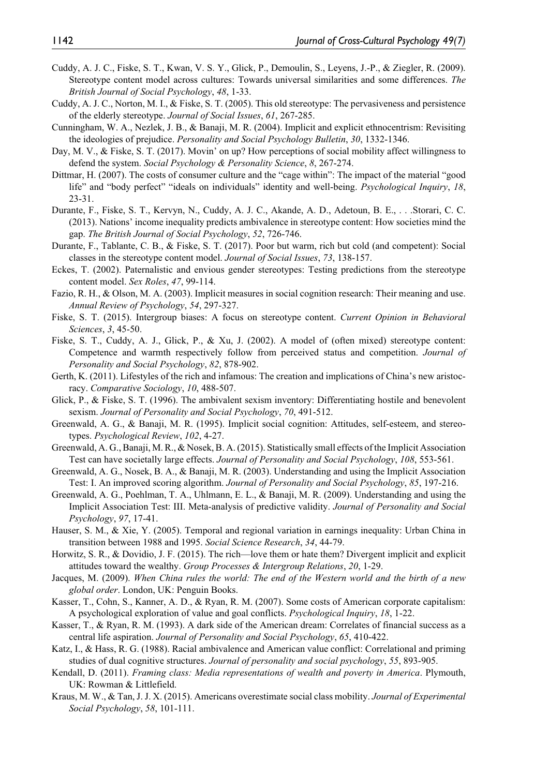- Cuddy, A. J. C., Fiske, S. T., Kwan, V. S. Y., Glick, P., Demoulin, S., Leyens, J.-P., & Ziegler, R. (2009). Stereotype content model across cultures: Towards universal similarities and some differences. *The British Journal of Social Psychology*, *48*, 1-33.
- Cuddy, A. J. C., Norton, M. I., & Fiske, S. T. (2005). This old stereotype: The pervasiveness and persistence of the elderly stereotype. *Journal of Social Issues*, *61*, 267-285.
- Cunningham, W. A., Nezlek, J. B., & Banaji, M. R. (2004). Implicit and explicit ethnocentrism: Revisiting the ideologies of prejudice. *Personality and Social Psychology Bulletin*, *30*, 1332-1346.
- Day, M. V., & Fiske, S. T. (2017). Movin' on up? How perceptions of social mobility affect willingness to defend the system. *Social Psychology & Personality Science*, *8*, 267-274.
- Dittmar, H. (2007). The costs of consumer culture and the "cage within": The impact of the material "good life" and "body perfect" "ideals on individuals" identity and well-being. *Psychological Inquiry*, *18*, 23-31.
- Durante, F., Fiske, S. T., Kervyn, N., Cuddy, A. J. C., Akande, A. D., Adetoun, B. E., . . .Storari, C. C. (2013). Nations' income inequality predicts ambivalence in stereotype content: How societies mind the gap. *The British Journal of Social Psychology*, *52*, 726-746.
- Durante, F., Tablante, C. B., & Fiske, S. T. (2017). Poor but warm, rich but cold (and competent): Social classes in the stereotype content model. *Journal of Social Issues*, *73*, 138-157.
- Eckes, T. (2002). Paternalistic and envious gender stereotypes: Testing predictions from the stereotype content model. *Sex Roles*, *47*, 99-114.
- Fazio, R. H., & Olson, M. A. (2003). Implicit measures in social cognition research: Their meaning and use. *Annual Review of Psychology*, *54*, 297-327.
- Fiske, S. T. (2015). Intergroup biases: A focus on stereotype content. *Current Opinion in Behavioral Sciences*, *3*, 45-50.
- Fiske, S. T., Cuddy, A. J., Glick, P., & Xu, J. (2002). A model of (often mixed) stereotype content: Competence and warmth respectively follow from perceived status and competition. *Journal of Personality and Social Psychology*, *82*, 878-902.
- Gerth, K. (2011). Lifestyles of the rich and infamous: The creation and implications of China's new aristocracy. *Comparative Sociology*, *10*, 488-507.
- Glick, P., & Fiske, S. T. (1996). The ambivalent sexism inventory: Differentiating hostile and benevolent sexism. *Journal of Personality and Social Psychology*, *70*, 491-512.
- Greenwald, A. G., & Banaji, M. R. (1995). Implicit social cognition: Attitudes, self-esteem, and stereotypes. *Psychological Review*, *102*, 4-27.
- Greenwald, A. G., Banaji, M. R., & Nosek, B. A. (2015). Statistically small effects of the Implicit Association Test can have societally large effects. *Journal of Personality and Social Psychology*, *108*, 553-561.
- Greenwald, A. G., Nosek, B. A., & Banaji, M. R. (2003). Understanding and using the Implicit Association Test: I. An improved scoring algorithm. *Journal of Personality and Social Psychology*, *85*, 197-216.
- Greenwald, A. G., Poehlman, T. A., Uhlmann, E. L., & Banaji, M. R. (2009). Understanding and using the Implicit Association Test: III. Meta-analysis of predictive validity. *Journal of Personality and Social Psychology*, *97*, 17-41.
- Hauser, S. M., & Xie, Y. (2005). Temporal and regional variation in earnings inequality: Urban China in transition between 1988 and 1995. *Social Science Research*, *34*, 44-79.
- Horwitz, S. R., & Dovidio, J. F. (2015). The rich—love them or hate them? Divergent implicit and explicit attitudes toward the wealthy. *Group Processes & Intergroup Relations*, *20*, 1-29.
- Jacques, M. (2009). *When China rules the world: The end of the Western world and the birth of a new global order*. London, UK: Penguin Books.
- Kasser, T., Cohn, S., Kanner, A. D., & Ryan, R. M. (2007). Some costs of American corporate capitalism: A psychological exploration of value and goal conflicts. *Psychological Inquiry*, *18*, 1-22.
- Kasser, T., & Ryan, R. M. (1993). A dark side of the American dream: Correlates of financial success as a central life aspiration. *Journal of Personality and Social Psychology*, *65*, 410-422.
- Katz, I., & Hass, R. G. (1988). Racial ambivalence and American value conflict: Correlational and priming studies of dual cognitive structures. *Journal of personality and social psychology*, *55*, 893-905.
- Kendall, D. (2011). *Framing class: Media representations of wealth and poverty in America*. Plymouth, UK: Rowman & Littlefield.
- Kraus, M. W., & Tan, J. J. X. (2015). Americans overestimate social class mobility. *Journal of Experimental Social Psychology*, *58*, 101-111.